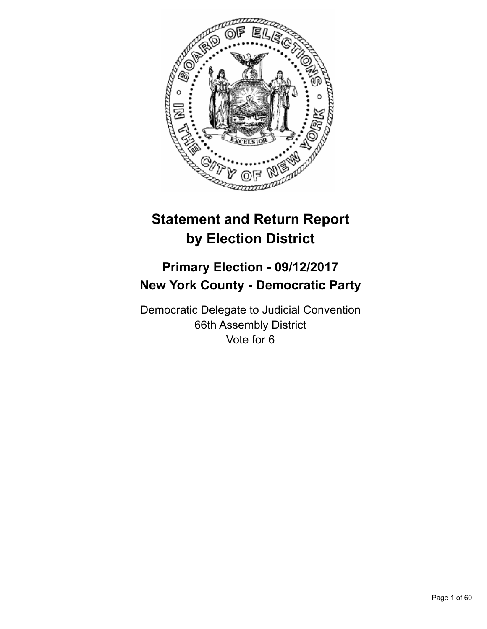

# **Statement and Return Report by Election District**

## **Primary Election - 09/12/2017 New York County - Democratic Party**

Democratic Delegate to Judicial Convention 66th Assembly District Vote for 6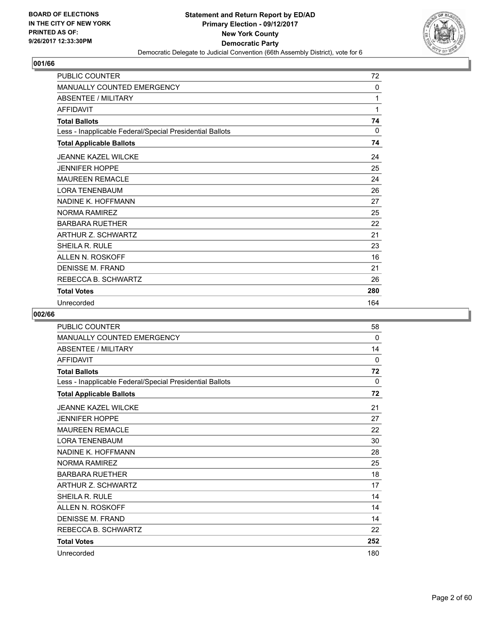

| <b>PUBLIC COUNTER</b>                                    | 72       |
|----------------------------------------------------------|----------|
| <b>MANUALLY COUNTED EMERGENCY</b>                        | 0        |
| <b>ABSENTEE / MILITARY</b>                               | 1        |
| <b>AFFIDAVIT</b>                                         | 1        |
| <b>Total Ballots</b>                                     | 74       |
| Less - Inapplicable Federal/Special Presidential Ballots | $\Omega$ |
| <b>Total Applicable Ballots</b>                          | 74       |
| <b>JEANNE KAZEL WILCKE</b>                               | 24       |
| <b>JENNIFER HOPPE</b>                                    | 25       |
| <b>MAUREEN REMACLE</b>                                   | 24       |
| <b>LORA TENENBAUM</b>                                    | 26       |
| NADINE K. HOFFMANN                                       | 27       |
| NORMA RAMIREZ                                            | 25       |
| <b>BARBARA RUETHER</b>                                   | 22       |
| ARTHUR Z. SCHWARTZ                                       | 21       |
| SHEILA R. RULE                                           | 23       |
| ALLEN N. ROSKOFF                                         | 16       |
| DENISSE M. FRAND                                         | 21       |
| REBECCA B. SCHWARTZ                                      | 26       |
| <b>Total Votes</b>                                       | 280      |
| Unrecorded                                               | 164      |

| PUBLIC COUNTER                                           | 58           |
|----------------------------------------------------------|--------------|
| <b>MANUALLY COUNTED EMERGENCY</b>                        | $\mathbf{0}$ |
| <b>ABSENTEE / MILITARY</b>                               | 14           |
| <b>AFFIDAVIT</b>                                         | $\Omega$     |
| <b>Total Ballots</b>                                     | 72           |
| Less - Inapplicable Federal/Special Presidential Ballots | 0            |
| <b>Total Applicable Ballots</b>                          | 72           |
| <b>JEANNE KAZEL WILCKE</b>                               | 21           |
| <b>JENNIFER HOPPE</b>                                    | 27           |
| <b>MAUREEN REMACLE</b>                                   | 22           |
| <b>LORA TENENBAUM</b>                                    | 30           |
| NADINE K. HOFFMANN                                       | 28           |
| <b>NORMA RAMIREZ</b>                                     | 25           |
| <b>BARBARA RUETHER</b>                                   | 18           |
| <b>ARTHUR Z. SCHWARTZ</b>                                | 17           |
| <b>SHEILA R. RULE</b>                                    | 14           |
| ALLEN N. ROSKOFF                                         | 14           |
| DENISSE M. FRAND                                         | 14           |
| REBECCA B. SCHWARTZ                                      | 22           |
| <b>Total Votes</b>                                       | 252          |
| Unrecorded                                               | 180          |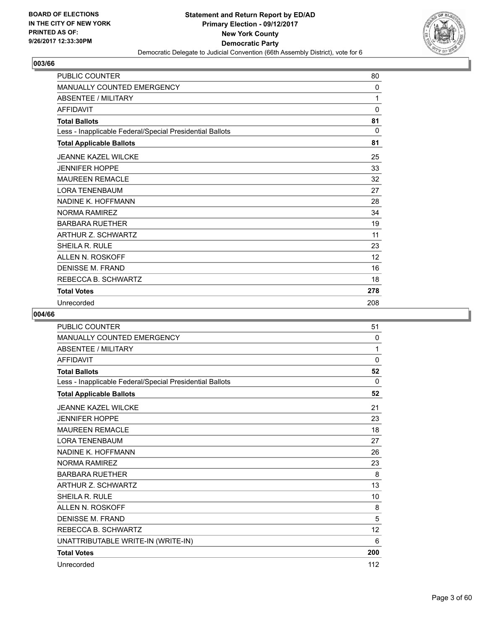

| <b>PUBLIC COUNTER</b>                                    | 80           |
|----------------------------------------------------------|--------------|
| <b>MANUALLY COUNTED EMERGENCY</b>                        | $\mathbf{0}$ |
| <b>ABSENTEE / MILITARY</b>                               | 1            |
| <b>AFFIDAVIT</b>                                         | $\Omega$     |
| <b>Total Ballots</b>                                     | 81           |
| Less - Inapplicable Federal/Special Presidential Ballots | 0            |
| <b>Total Applicable Ballots</b>                          | 81           |
| <b>JEANNE KAZEL WILCKE</b>                               | 25           |
| <b>JENNIFER HOPPE</b>                                    | 33           |
| <b>MAUREEN REMACLE</b>                                   | 32           |
| <b>LORA TENENBAUM</b>                                    | 27           |
| NADINE K. HOFFMANN                                       | 28           |
| <b>NORMA RAMIREZ</b>                                     | 34           |
| <b>BARBARA RUETHER</b>                                   | 19           |
| ARTHUR Z. SCHWARTZ                                       | 11           |
| SHEILA R. RULE                                           | 23           |
| ALLEN N. ROSKOFF                                         | 12           |
| <b>DENISSE M. FRAND</b>                                  | 16           |
| REBECCA B. SCHWARTZ                                      | 18           |
| <b>Total Votes</b>                                       | 278          |
| Unrecorded                                               | 208          |

| <b>PUBLIC COUNTER</b>                                    | 51           |
|----------------------------------------------------------|--------------|
| <b>MANUALLY COUNTED EMERGENCY</b>                        | $\mathbf{0}$ |
| <b>ABSENTEE / MILITARY</b>                               | 1            |
| <b>AFFIDAVIT</b>                                         | $\Omega$     |
| <b>Total Ballots</b>                                     | 52           |
| Less - Inapplicable Federal/Special Presidential Ballots | 0            |
| <b>Total Applicable Ballots</b>                          | 52           |
| <b>JEANNE KAZEL WILCKE</b>                               | 21           |
| <b>JENNIFER HOPPE</b>                                    | 23           |
| <b>MAUREEN REMACLE</b>                                   | 18           |
| <b>LORA TENENBAUM</b>                                    | 27           |
| NADINE K. HOFFMANN                                       | 26           |
| <b>NORMA RAMIREZ</b>                                     | 23           |
| <b>BARBARA RUETHER</b>                                   | 8            |
| <b>ARTHUR Z. SCHWARTZ</b>                                | 13           |
| SHEILA R. RULE                                           | 10           |
| <b>ALLEN N. ROSKOFF</b>                                  | 8            |
| <b>DENISSE M. FRAND</b>                                  | 5            |
| REBECCA B. SCHWARTZ                                      | 12           |
| UNATTRIBUTABLE WRITE-IN (WRITE-IN)                       | 6            |
| <b>Total Votes</b>                                       | 200          |
| Unrecorded                                               | 112          |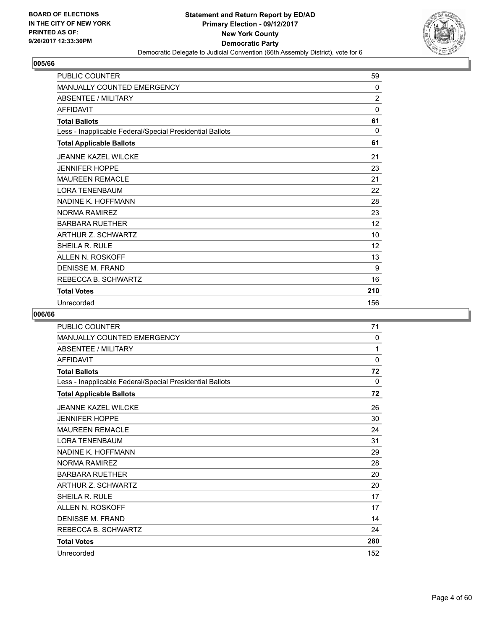

| <b>PUBLIC COUNTER</b>                                    | 59             |
|----------------------------------------------------------|----------------|
| <b>MANUALLY COUNTED EMERGENCY</b>                        | 0              |
| <b>ABSENTEE / MILITARY</b>                               | $\overline{2}$ |
| <b>AFFIDAVIT</b>                                         | 0              |
| <b>Total Ballots</b>                                     | 61             |
| Less - Inapplicable Federal/Special Presidential Ballots | $\Omega$       |
| <b>Total Applicable Ballots</b>                          | 61             |
| <b>JEANNE KAZEL WILCKE</b>                               | 21             |
| <b>JENNIFER HOPPE</b>                                    | 23             |
| <b>MAUREEN REMACLE</b>                                   | 21             |
| <b>LORA TENENBAUM</b>                                    | 22             |
| NADINE K. HOFFMANN                                       | 28             |
| <b>NORMA RAMIREZ</b>                                     | 23             |
| <b>BARBARA RUETHER</b>                                   | 12             |
| ARTHUR Z. SCHWARTZ                                       | 10             |
| SHEILA R. RULE                                           | 12             |
| ALLEN N. ROSKOFF                                         | 13             |
| DENISSE M. FRAND                                         | 9              |
| REBECCA B. SCHWARTZ                                      | 16             |
| <b>Total Votes</b>                                       | 210            |
| Unrecorded                                               | 156            |

| <b>PUBLIC COUNTER</b>                                    | 71  |
|----------------------------------------------------------|-----|
| <b>MANUALLY COUNTED EMERGENCY</b>                        | 0   |
| <b>ABSENTEE / MILITARY</b>                               | 1   |
| <b>AFFIDAVIT</b>                                         | 0   |
| <b>Total Ballots</b>                                     | 72  |
| Less - Inapplicable Federal/Special Presidential Ballots | 0   |
| <b>Total Applicable Ballots</b>                          | 72  |
| <b>JEANNE KAZEL WILCKE</b>                               | 26  |
| <b>JENNIFER HOPPE</b>                                    | 30  |
| <b>MAUREEN REMACLE</b>                                   | 24  |
| <b>LORA TENENBAUM</b>                                    | 31  |
| NADINE K. HOFFMANN                                       | 29  |
| <b>NORMA RAMIREZ</b>                                     | 28  |
| <b>BARBARA RUETHER</b>                                   | 20  |
| ARTHUR Z. SCHWARTZ                                       | 20  |
| SHEILA R. RULE                                           | 17  |
| ALLEN N. ROSKOFF                                         | 17  |
| DENISSE M. FRAND                                         | 14  |
| REBECCA B. SCHWARTZ                                      | 24  |
| <b>Total Votes</b>                                       | 280 |
| Unrecorded                                               | 152 |
|                                                          |     |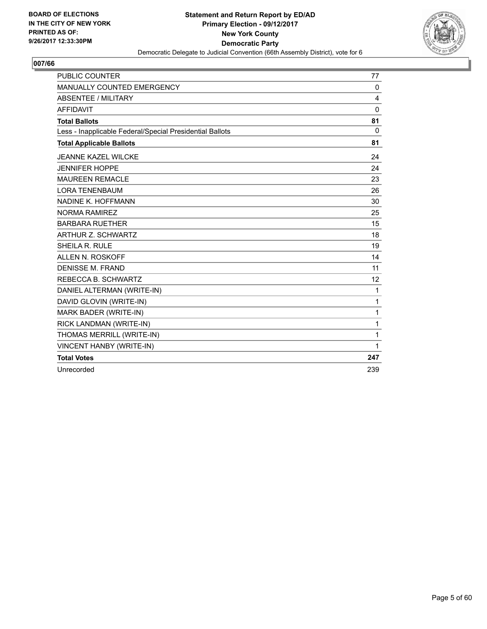

| <b>PUBLIC COUNTER</b>                                    | 77           |
|----------------------------------------------------------|--------------|
| MANUALLY COUNTED EMERGENCY                               | 0            |
| <b>ABSENTEE / MILITARY</b>                               | 4            |
| <b>AFFIDAVIT</b>                                         | $\mathbf{0}$ |
| <b>Total Ballots</b>                                     | 81           |
| Less - Inapplicable Federal/Special Presidential Ballots | $\mathbf{0}$ |
| <b>Total Applicable Ballots</b>                          | 81           |
| <b>JEANNE KAZEL WILCKE</b>                               | 24           |
| <b>JENNIFER HOPPE</b>                                    | 24           |
| <b>MAUREEN REMACLE</b>                                   | 23           |
| <b>LORA TENENBAUM</b>                                    | 26           |
| NADINE K. HOFFMANN                                       | 30           |
| <b>NORMA RAMIREZ</b>                                     | 25           |
| <b>BARBARA RUETHER</b>                                   | 15           |
| ARTHUR Z. SCHWARTZ                                       | 18           |
| SHEILA R. RULE                                           | 19           |
| ALLEN N. ROSKOFF                                         | 14           |
| <b>DENISSE M. FRAND</b>                                  | 11           |
| REBECCA B. SCHWARTZ                                      | 12           |
| DANIEL ALTERMAN (WRITE-IN)                               | 1            |
| DAVID GLOVIN (WRITE-IN)                                  | 1            |
| MARK BADER (WRITE-IN)                                    | 1            |
| RICK LANDMAN (WRITE-IN)                                  | 1            |
| THOMAS MERRILL (WRITE-IN)                                | 1            |
| VINCENT HANBY (WRITE-IN)                                 | 1            |
| <b>Total Votes</b>                                       | 247          |
| Unrecorded                                               | 239          |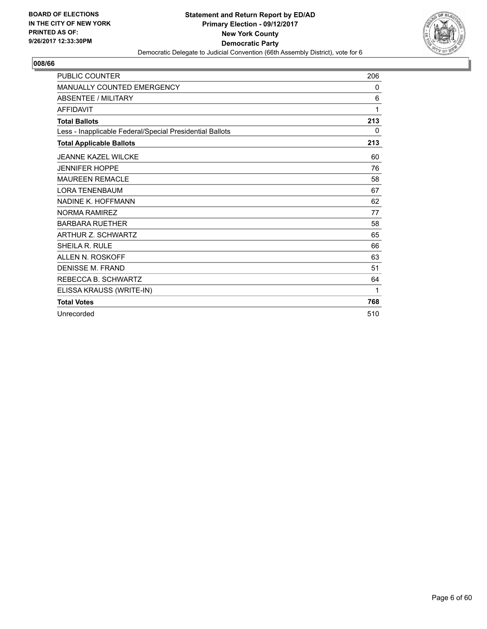

| <b>PUBLIC COUNTER</b>                                    | 206 |
|----------------------------------------------------------|-----|
| <b>MANUALLY COUNTED EMERGENCY</b>                        | 0   |
| <b>ABSENTEE / MILITARY</b>                               | 6   |
| <b>AFFIDAVIT</b>                                         | 1   |
| <b>Total Ballots</b>                                     | 213 |
| Less - Inapplicable Federal/Special Presidential Ballots | 0   |
| <b>Total Applicable Ballots</b>                          | 213 |
| JFANNE KAZEL WII CKE                                     | 60  |
| <b>JENNIFER HOPPE</b>                                    | 76  |
| <b>MAUREEN REMACLE</b>                                   | 58  |
| <b>LORA TENENBAUM</b>                                    | 67  |
| NADINE K. HOFFMANN                                       | 62  |
| <b>NORMA RAMIREZ</b>                                     | 77  |
| <b>BARBARA RUETHER</b>                                   | 58  |
| ARTHUR Z. SCHWARTZ                                       | 65  |
| <b>SHEILA R. RULE</b>                                    | 66  |
| <b>ALLEN N. ROSKOFF</b>                                  | 63  |
| <b>DENISSE M. FRAND</b>                                  | 51  |
| REBECCA B. SCHWARTZ                                      | 64  |
| ELISSA KRAUSS (WRITE-IN)                                 | 1   |
| <b>Total Votes</b>                                       | 768 |
| Unrecorded                                               | 510 |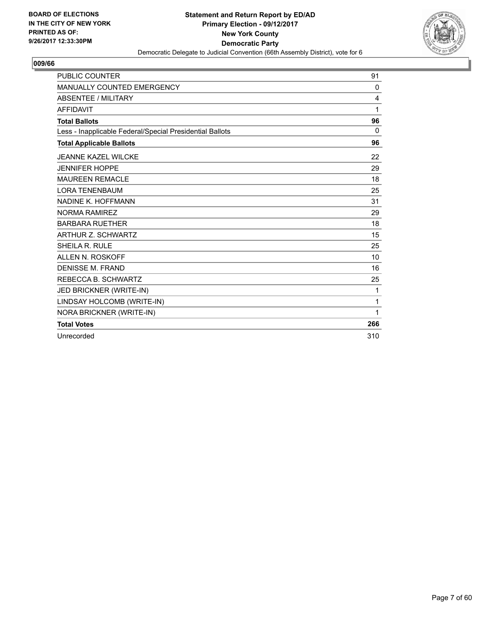

| <b>PUBLIC COUNTER</b>                                    | 91       |
|----------------------------------------------------------|----------|
| <b>MANUALLY COUNTED EMERGENCY</b>                        | 0        |
| <b>ABSENTEE / MILITARY</b>                               | 4        |
| <b>AFFIDAVIT</b>                                         | 1        |
| <b>Total Ballots</b>                                     | 96       |
| Less - Inapplicable Federal/Special Presidential Ballots | $\Omega$ |
| <b>Total Applicable Ballots</b>                          | 96       |
| <b>JEANNE KAZEL WILCKE</b>                               | 22       |
| <b>JENNIFER HOPPE</b>                                    | 29       |
| <b>MAUREEN REMACLE</b>                                   | 18       |
| <b>LORA TENENBAUM</b>                                    | 25       |
| NADINE K. HOFFMANN                                       | 31       |
| <b>NORMA RAMIREZ</b>                                     | 29       |
| <b>BARBARA RUETHER</b>                                   | 18       |
| <b>ARTHUR Z. SCHWARTZ</b>                                | 15       |
| <b>SHEILA R. RULE</b>                                    | 25       |
| ALLEN N. ROSKOFF                                         | 10       |
| <b>DENISSE M. FRAND</b>                                  | 16       |
| REBECCA B. SCHWARTZ                                      | 25       |
| JED BRICKNER (WRITE-IN)                                  | 1        |
| LINDSAY HOLCOMB (WRITE-IN)                               | 1        |
| NORA BRICKNER (WRITE-IN)                                 | 1        |
| <b>Total Votes</b>                                       | 266      |
| Unrecorded                                               | 310      |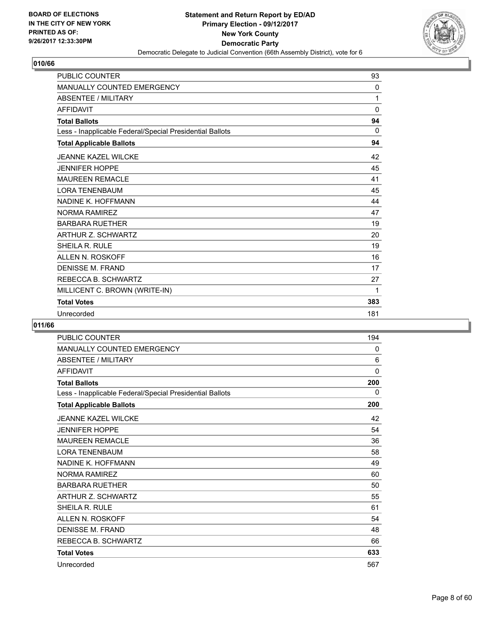

| <b>PUBLIC COUNTER</b>                                    | 93           |
|----------------------------------------------------------|--------------|
| <b>MANUALLY COUNTED EMERGENCY</b>                        | $\mathbf{0}$ |
| <b>ABSENTEE / MILITARY</b>                               | 1            |
| <b>AFFIDAVIT</b>                                         | 0            |
| <b>Total Ballots</b>                                     | 94           |
| Less - Inapplicable Federal/Special Presidential Ballots | 0            |
| <b>Total Applicable Ballots</b>                          | 94           |
| <b>JEANNE KAZEL WILCKE</b>                               | 42           |
| <b>JENNIFER HOPPE</b>                                    | 45           |
| <b>MAUREEN REMACLE</b>                                   | 41           |
| <b>LORA TENENBAUM</b>                                    | 45           |
| NADINE K. HOFFMANN                                       | 44           |
| NORMA RAMIREZ                                            | 47           |
| <b>BARBARA RUETHER</b>                                   | 19           |
| ARTHUR Z. SCHWARTZ                                       | 20           |
| SHEILA R. RULE                                           | 19           |
| ALLEN N. ROSKOFF                                         | 16           |
| <b>DENISSE M. FRAND</b>                                  | 17           |
| REBECCA B. SCHWARTZ                                      | 27           |
| MILLICENT C. BROWN (WRITE-IN)                            | 1            |
| <b>Total Votes</b>                                       | 383          |
| Unrecorded                                               | 181          |

| <b>PUBLIC COUNTER</b>                                    | 194         |
|----------------------------------------------------------|-------------|
| <b>MANUALLY COUNTED EMERGENCY</b>                        | 0           |
| <b>ABSENTEE / MILITARY</b>                               | 6           |
| <b>AFFIDAVIT</b>                                         | $\mathbf 0$ |
| <b>Total Ballots</b>                                     | 200         |
| Less - Inapplicable Federal/Special Presidential Ballots | 0           |
| <b>Total Applicable Ballots</b>                          | 200         |
| <b>JEANNE KAZEL WILCKE</b>                               | 42          |
| <b>JENNIFER HOPPE</b>                                    | 54          |
| <b>MAUREEN REMACLE</b>                                   | 36          |
| <b>LORA TENENBAUM</b>                                    | 58          |
| NADINE K. HOFFMANN                                       | 49          |
| <b>NORMA RAMIREZ</b>                                     | 60          |
| <b>BARBARA RUETHER</b>                                   | 50          |
| ARTHUR Z. SCHWARTZ                                       | 55          |
| <b>SHEILA R. RULE</b>                                    | 61          |
| ALLEN N. ROSKOFF                                         | 54          |
| <b>DENISSE M. FRAND</b>                                  | 48          |
| REBECCA B. SCHWARTZ                                      | 66          |
| <b>Total Votes</b>                                       | 633         |
| Unrecorded                                               | 567         |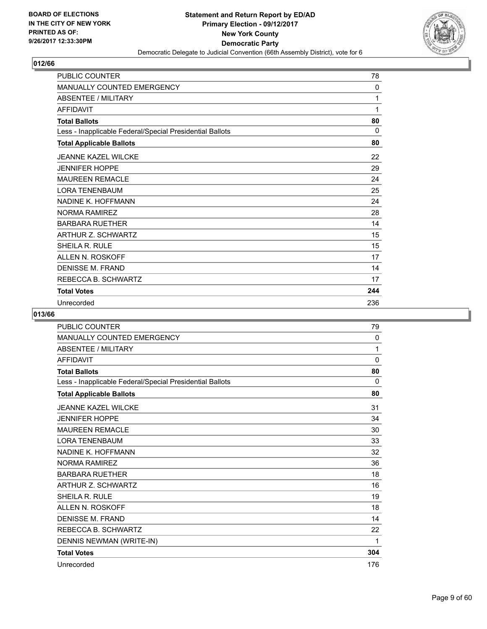

| <b>PUBLIC COUNTER</b>                                    | 78  |
|----------------------------------------------------------|-----|
| <b>MANUALLY COUNTED EMERGENCY</b>                        | 0   |
| <b>ABSENTEE / MILITARY</b>                               | 1   |
| <b>AFFIDAVIT</b>                                         | 1   |
| <b>Total Ballots</b>                                     | 80  |
| Less - Inapplicable Federal/Special Presidential Ballots | 0   |
| <b>Total Applicable Ballots</b>                          | 80  |
| <b>JEANNE KAZEL WILCKE</b>                               | 22  |
| <b>JENNIFER HOPPE</b>                                    | 29  |
| <b>MAUREEN REMACLE</b>                                   | 24  |
| <b>LORA TENENBAUM</b>                                    | 25  |
| NADINE K. HOFFMANN                                       | 24  |
| <b>NORMA RAMIREZ</b>                                     | 28  |
| <b>BARBARA RUETHER</b>                                   | 14  |
| ARTHUR Z. SCHWARTZ                                       | 15  |
| SHEILA R. RULE                                           | 15  |
| ALLEN N. ROSKOFF                                         | 17  |
| DENISSE M. FRAND                                         | 14  |
| REBECCA B. SCHWARTZ                                      | 17  |
| <b>Total Votes</b>                                       | 244 |
| Unrecorded                                               | 236 |

| <b>PUBLIC COUNTER</b>                                    | 79           |
|----------------------------------------------------------|--------------|
| <b>MANUALLY COUNTED EMERGENCY</b>                        | 0            |
| <b>ABSENTEE / MILITARY</b>                               | 1            |
| <b>AFFIDAVIT</b>                                         | $\mathbf{0}$ |
| <b>Total Ballots</b>                                     | 80           |
| Less - Inapplicable Federal/Special Presidential Ballots | $\Omega$     |
| <b>Total Applicable Ballots</b>                          | 80           |
| JEANNE KAZEL WILCKE                                      | 31           |
| <b>JENNIFER HOPPE</b>                                    | 34           |
| <b>MAUREEN REMACLE</b>                                   | 30           |
| <b>LORA TENENBAUM</b>                                    | 33           |
| NADINE K. HOFFMANN                                       | 32           |
| <b>NORMA RAMIREZ</b>                                     | 36           |
| <b>BARBARA RUETHER</b>                                   | 18           |
| ARTHUR Z. SCHWARTZ                                       | 16           |
| <b>SHEILA R. RULE</b>                                    | 19           |
| ALLEN N. ROSKOFF                                         | 18           |
| <b>DENISSE M. FRAND</b>                                  | 14           |
| REBECCA B. SCHWARTZ                                      | 22           |
| DENNIS NEWMAN (WRITE-IN)                                 | 1            |
| <b>Total Votes</b>                                       | 304          |
| Unrecorded                                               | 176          |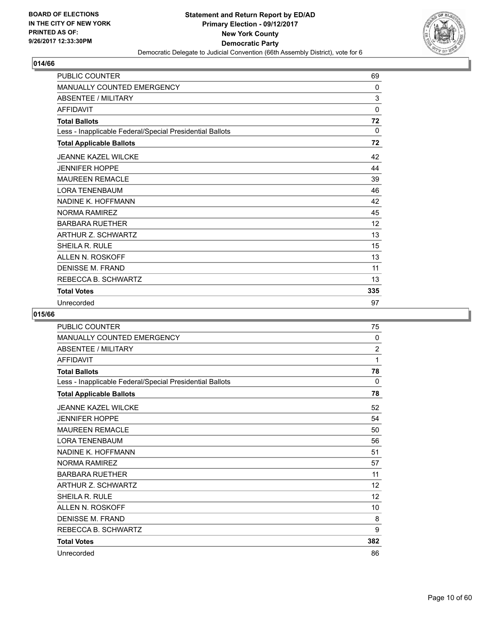

| <b>PUBLIC COUNTER</b>                                    | 69           |
|----------------------------------------------------------|--------------|
| <b>MANUALLY COUNTED EMERGENCY</b>                        | 0            |
| <b>ABSENTEE / MILITARY</b>                               | 3            |
| <b>AFFIDAVIT</b>                                         | 0            |
| <b>Total Ballots</b>                                     | 72           |
| Less - Inapplicable Federal/Special Presidential Ballots | $\mathbf{0}$ |
| <b>Total Applicable Ballots</b>                          | 72           |
| <b>JEANNE KAZEL WILCKE</b>                               | 42           |
| <b>JENNIFER HOPPE</b>                                    | 44           |
| <b>MAUREEN REMACLE</b>                                   | 39           |
| <b>LORA TENENBAUM</b>                                    | 46           |
| NADINE K. HOFFMANN                                       | 42           |
| <b>NORMA RAMIREZ</b>                                     | 45           |
| <b>BARBARA RUETHER</b>                                   | 12           |
| ARTHUR Z. SCHWARTZ                                       | 13           |
| SHEILA R. RULE                                           | 15           |
| ALLEN N. ROSKOFF                                         | 13           |
| <b>DENISSE M. FRAND</b>                                  | 11           |
| REBECCA B. SCHWARTZ                                      | 13           |
| <b>Total Votes</b>                                       | 335          |
| Unrecorded                                               | 97           |

| PUBLIC COUNTER                                           | 75             |
|----------------------------------------------------------|----------------|
| MANUALLY COUNTED EMERGENCY                               | 0              |
| ABSENTEE / MILITARY                                      | $\overline{2}$ |
| <b>AFFIDAVIT</b>                                         | 1              |
| <b>Total Ballots</b>                                     | 78             |
| Less - Inapplicable Federal/Special Presidential Ballots | 0              |
| <b>Total Applicable Ballots</b>                          | 78             |
| <b>JEANNE KAZEL WILCKE</b>                               | 52             |
| <b>JENNIFER HOPPE</b>                                    | 54             |
| <b>MAUREEN REMACLE</b>                                   | 50             |
| <b>LORA TENENBAUM</b>                                    | 56             |
| NADINE K. HOFFMANN                                       | 51             |
| <b>NORMA RAMIREZ</b>                                     | 57             |
| <b>BARBARA RUETHER</b>                                   | 11             |
| ARTHUR Z. SCHWARTZ                                       | 12             |
| <b>SHEILA R. RULE</b>                                    | 12             |
| ALLEN N. ROSKOFF                                         | 10             |
| <b>DENISSE M. FRAND</b>                                  | 8              |
| REBECCA B. SCHWARTZ                                      | 9              |
| <b>Total Votes</b>                                       | 382            |
| Unrecorded                                               | 86             |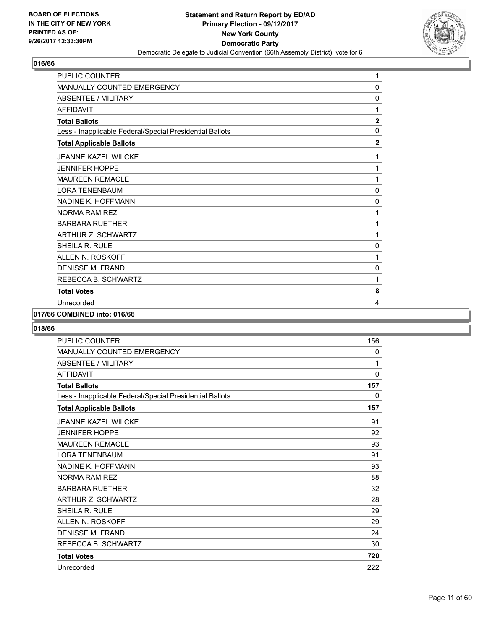

| PUBLIC COUNTER                                           | 1              |
|----------------------------------------------------------|----------------|
| MANUALLY COUNTED EMERGENCY                               | 0              |
| <b>ABSENTEE / MILITARY</b>                               | 0              |
| <b>AFFIDAVIT</b>                                         | 1              |
| <b>Total Ballots</b>                                     | $\overline{2}$ |
| Less - Inapplicable Federal/Special Presidential Ballots | 0              |
| <b>Total Applicable Ballots</b>                          | $\mathbf{2}$   |
| <b>JEANNE KAZEL WILCKE</b>                               | 1              |
| <b>JENNIFER HOPPE</b>                                    | 1              |
| <b>MAUREEN REMACLE</b>                                   | 1              |
| <b>LORA TENENBAUM</b>                                    | 0              |
| NADINE K. HOFFMANN                                       | 0              |
| <b>NORMA RAMIREZ</b>                                     | 1              |
| <b>BARBARA RUETHER</b>                                   | 1              |
| ARTHUR Z. SCHWARTZ                                       | 1              |
| SHEILA R. RULE                                           | 0              |
| ALLEN N. ROSKOFF                                         | 1              |
| <b>DENISSE M. FRAND</b>                                  | 0              |
| REBECCA B. SCHWARTZ                                      | 1              |
| <b>Total Votes</b>                                       | 8              |
| Unrecorded                                               | 4              |

#### **017/66 COMBINED into: 016/66**

| <b>PUBLIC COUNTER</b>                                    | 156          |
|----------------------------------------------------------|--------------|
| <b>MANUALLY COUNTED EMERGENCY</b>                        | 0            |
| <b>ABSENTEE / MILITARY</b>                               | 1            |
| <b>AFFIDAVIT</b>                                         | $\mathbf{0}$ |
| <b>Total Ballots</b>                                     | 157          |
| Less - Inapplicable Federal/Special Presidential Ballots | 0            |
| <b>Total Applicable Ballots</b>                          | 157          |
| <b>JEANNE KAZEL WILCKE</b>                               | 91           |
| <b>JENNIFER HOPPE</b>                                    | 92           |
| <b>MAUREEN REMACLE</b>                                   | 93           |
| <b>LORA TENENBAUM</b>                                    | 91           |
| NADINE K. HOFFMANN                                       | 93           |
| <b>NORMA RAMIREZ</b>                                     | 88           |
| <b>BARBARA RUETHER</b>                                   | 32           |
| ARTHUR Z. SCHWARTZ                                       | 28           |
| <b>SHEILA R. RULE</b>                                    | 29           |
| ALLEN N. ROSKOFF                                         | 29           |
| DENISSE M. FRAND                                         | 24           |
| REBECCA B. SCHWARTZ                                      | 30           |
| <b>Total Votes</b>                                       | 720          |
| Unrecorded                                               | 222          |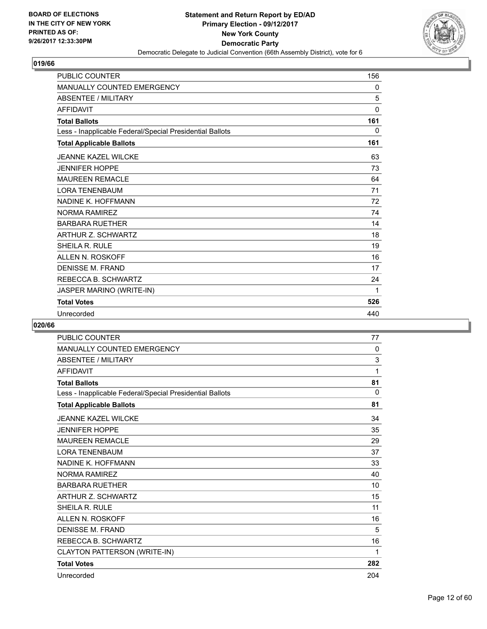

| <b>PUBLIC COUNTER</b>                                    | 156 |
|----------------------------------------------------------|-----|
| <b>MANUALLY COUNTED EMERGENCY</b>                        | 0   |
| <b>ABSENTEE / MILITARY</b>                               | 5   |
| <b>AFFIDAVIT</b>                                         | 0   |
| <b>Total Ballots</b>                                     | 161 |
| Less - Inapplicable Federal/Special Presidential Ballots | 0   |
| <b>Total Applicable Ballots</b>                          | 161 |
| <b>JEANNE KAZEL WILCKE</b>                               | 63  |
| <b>JENNIFER HOPPE</b>                                    | 73  |
| <b>MAUREEN REMACLE</b>                                   | 64  |
| <b>LORA TENENBAUM</b>                                    | 71  |
| NADINE K. HOFFMANN                                       | 72  |
| <b>NORMA RAMIREZ</b>                                     | 74  |
| <b>BARBARA RUETHER</b>                                   | 14  |
| ARTHUR Z. SCHWARTZ                                       | 18  |
| SHEILA R. RULE                                           | 19  |
| <b>ALLEN N. ROSKOFF</b>                                  | 16  |
| <b>DENISSE M. FRAND</b>                                  | 17  |
| REBECCA B. SCHWARTZ                                      | 24  |
| JASPER MARINO (WRITE-IN)                                 | 1   |
| <b>Total Votes</b>                                       | 526 |
| Unrecorded                                               | 440 |

| <b>PUBLIC COUNTER</b>                                    | 77  |
|----------------------------------------------------------|-----|
| <b>MANUALLY COUNTED EMERGENCY</b>                        | 0   |
| <b>ABSENTEE / MILITARY</b>                               | 3   |
| AFFIDAVIT                                                | 1   |
| <b>Total Ballots</b>                                     | 81  |
| Less - Inapplicable Federal/Special Presidential Ballots | 0   |
| <b>Total Applicable Ballots</b>                          | 81  |
| <b>JEANNE KAZEL WILCKE</b>                               | 34  |
| <b>JENNIFER HOPPE</b>                                    | 35  |
| <b>MAUREEN REMACLE</b>                                   | 29  |
| <b>LORA TENENBAUM</b>                                    | 37  |
| NADINE K. HOFFMANN                                       | 33  |
| <b>NORMA RAMIREZ</b>                                     | 40  |
| <b>BARBARA RUETHER</b>                                   | 10  |
| <b>ARTHUR Z. SCHWARTZ</b>                                | 15  |
| <b>SHEILA R. RULE</b>                                    | 11  |
| <b>ALLEN N. ROSKOFF</b>                                  | 16  |
| <b>DENISSE M. FRAND</b>                                  | 5   |
| REBECCA B. SCHWARTZ                                      | 16  |
| CLAYTON PATTERSON (WRITE-IN)                             | 1   |
| <b>Total Votes</b>                                       | 282 |
| Unrecorded                                               | 204 |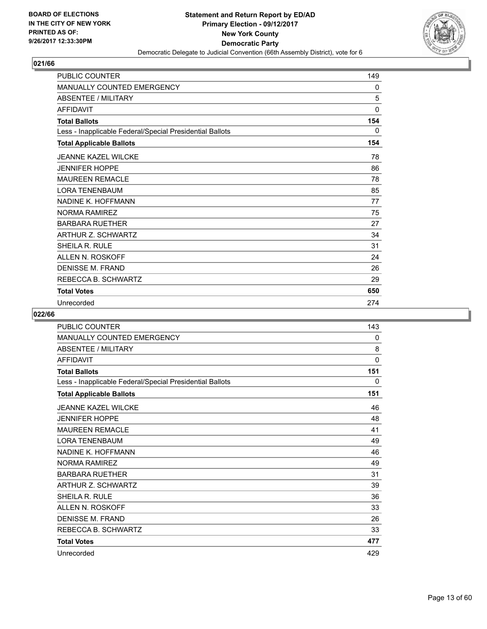

| <b>PUBLIC COUNTER</b>                                    | 149      |
|----------------------------------------------------------|----------|
| <b>MANUALLY COUNTED EMERGENCY</b>                        | 0        |
| <b>ABSENTEE / MILITARY</b>                               | 5        |
| <b>AFFIDAVIT</b>                                         | $\Omega$ |
| <b>Total Ballots</b>                                     | 154      |
| Less - Inapplicable Federal/Special Presidential Ballots | 0        |
| <b>Total Applicable Ballots</b>                          | 154      |
| <b>JEANNE KAZEL WILCKE</b>                               | 78       |
| <b>JENNIFER HOPPE</b>                                    | 86       |
| <b>MAUREEN REMACLE</b>                                   | 78       |
| <b>LORA TENENBAUM</b>                                    | 85       |
| NADINE K. HOFFMANN                                       | 77       |
| NORMA RAMIREZ                                            | 75       |
| <b>BARBARA RUETHER</b>                                   | 27       |
| ARTHUR Z. SCHWARTZ                                       | 34       |
| <b>SHEILA R. RULE</b>                                    | 31       |
| ALLEN N. ROSKOFF                                         | 24       |
| DENISSE M. FRAND                                         | 26       |
| REBECCA B. SCHWARTZ                                      | 29       |
| <b>Total Votes</b>                                       | 650      |
| Unrecorded                                               | 274      |

| <b>PUBLIC COUNTER</b>                                    | 143         |
|----------------------------------------------------------|-------------|
| <b>MANUALLY COUNTED EMERGENCY</b>                        | 0           |
| <b>ABSENTEE / MILITARY</b>                               | 8           |
| <b>AFFIDAVIT</b>                                         | $\mathbf 0$ |
| <b>Total Ballots</b>                                     | 151         |
| Less - Inapplicable Federal/Special Presidential Ballots | 0           |
| <b>Total Applicable Ballots</b>                          | 151         |
| <b>JEANNE KAZEL WILCKE</b>                               | 46          |
| <b>JENNIFER HOPPE</b>                                    | 48          |
| <b>MAUREEN REMACLE</b>                                   | 41          |
| <b>LORA TENENBAUM</b>                                    | 49          |
| NADINE K. HOFFMANN                                       | 46          |
| <b>NORMA RAMIREZ</b>                                     | 49          |
| <b>BARBARA RUETHER</b>                                   | 31          |
| ARTHUR Z. SCHWARTZ                                       | 39          |
| SHEILA R. RULE                                           | 36          |
| ALLEN N. ROSKOFF                                         | 33          |
| <b>DENISSE M. FRAND</b>                                  | 26          |
| REBECCA B. SCHWARTZ                                      | 33          |
| <b>Total Votes</b>                                       | 477         |
| Unrecorded                                               | 429         |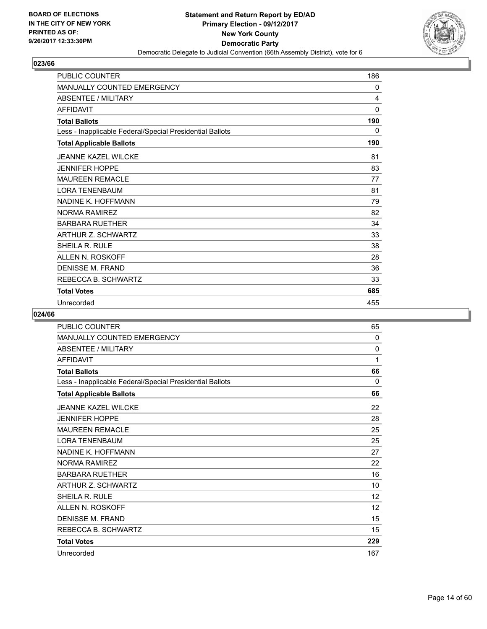

| <b>PUBLIC COUNTER</b>                                    | 186      |
|----------------------------------------------------------|----------|
| <b>MANUALLY COUNTED EMERGENCY</b>                        | 0        |
| <b>ABSENTEE / MILITARY</b>                               | 4        |
| <b>AFFIDAVIT</b>                                         | $\Omega$ |
| <b>Total Ballots</b>                                     | 190      |
| Less - Inapplicable Federal/Special Presidential Ballots | 0        |
| <b>Total Applicable Ballots</b>                          | 190      |
| <b>JEANNE KAZEL WILCKE</b>                               | 81       |
| <b>JENNIFER HOPPE</b>                                    | 83       |
| <b>MAUREEN REMACLE</b>                                   | 77       |
| <b>LORA TENENBAUM</b>                                    | 81       |
| NADINE K. HOFFMANN                                       | 79       |
| NORMA RAMIREZ                                            | 82       |
| <b>BARBARA RUETHER</b>                                   | 34       |
| ARTHUR Z. SCHWARTZ                                       | 33       |
| <b>SHEILA R. RULE</b>                                    | 38       |
| ALLEN N. ROSKOFF                                         | 28       |
| DENISSE M. FRAND                                         | 36       |
| REBECCA B. SCHWARTZ                                      | 33       |
| <b>Total Votes</b>                                       | 685      |
| Unrecorded                                               | 455      |

| <b>PUBLIC COUNTER</b>                                    | 65                |
|----------------------------------------------------------|-------------------|
| <b>MANUALLY COUNTED EMERGENCY</b>                        | 0                 |
| <b>ABSENTEE / MILITARY</b>                               | $\mathbf{0}$      |
| <b>AFFIDAVIT</b>                                         | 1                 |
| <b>Total Ballots</b>                                     | 66                |
| Less - Inapplicable Federal/Special Presidential Ballots | 0                 |
| <b>Total Applicable Ballots</b>                          | 66                |
| <b>JEANNE KAZEL WILCKE</b>                               | 22                |
| <b>JENNIFER HOPPE</b>                                    | 28                |
| <b>MAUREEN REMACLE</b>                                   | 25                |
| <b>LORA TENENBAUM</b>                                    | 25                |
| NADINE K. HOFFMANN                                       | 27                |
| <b>NORMA RAMIREZ</b>                                     | 22                |
| <b>BARBARA RUETHER</b>                                   | 16                |
| ARTHUR Z. SCHWARTZ                                       | 10                |
| <b>SHEILA R. RULE</b>                                    | 12                |
| <b>ALLEN N. ROSKOFF</b>                                  | $12 \overline{ }$ |
| DENISSE M. FRAND                                         | 15                |
| REBECCA B. SCHWARTZ                                      | 15                |
| <b>Total Votes</b>                                       | 229               |
| Unrecorded                                               | 167               |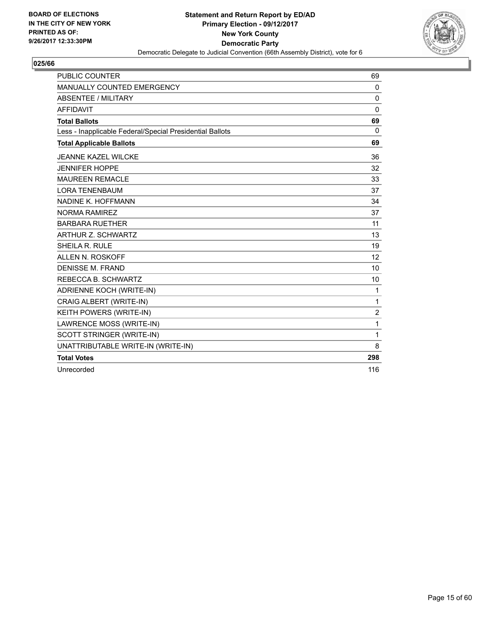

| <b>PUBLIC COUNTER</b>                                    | 69             |
|----------------------------------------------------------|----------------|
| MANUALLY COUNTED EMERGENCY                               | 0              |
| <b>ABSENTEE / MILITARY</b>                               | 0              |
| <b>AFFIDAVIT</b>                                         | $\Omega$       |
| <b>Total Ballots</b>                                     | 69             |
| Less - Inapplicable Federal/Special Presidential Ballots | $\mathbf{0}$   |
| <b>Total Applicable Ballots</b>                          | 69             |
| <b>JEANNE KAZEL WILCKE</b>                               | 36             |
| <b>JENNIFER HOPPE</b>                                    | 32             |
| <b>MAUREEN REMACLE</b>                                   | 33             |
| <b>LORA TENENBAUM</b>                                    | 37             |
| NADINE K. HOFFMANN                                       | 34             |
| <b>NORMA RAMIREZ</b>                                     | 37             |
| <b>BARBARA RUETHER</b>                                   | 11             |
| ARTHUR Z. SCHWARTZ                                       | 13             |
| SHEILA R. RULE                                           | 19             |
| ALLEN N. ROSKOFF                                         | 12             |
| <b>DENISSE M. FRAND</b>                                  | 10             |
| REBECCA B. SCHWARTZ                                      | 10             |
| ADRIENNE KOCH (WRITE-IN)                                 | 1              |
| CRAIG ALBERT (WRITE-IN)                                  | 1              |
| KEITH POWERS (WRITE-IN)                                  | $\overline{2}$ |
| LAWRENCE MOSS (WRITE-IN)                                 | 1              |
| SCOTT STRINGER (WRITE-IN)                                | 1              |
| UNATTRIBUTABLE WRITE-IN (WRITE-IN)                       | 8              |
| <b>Total Votes</b>                                       | 298            |
| Unrecorded                                               | 116            |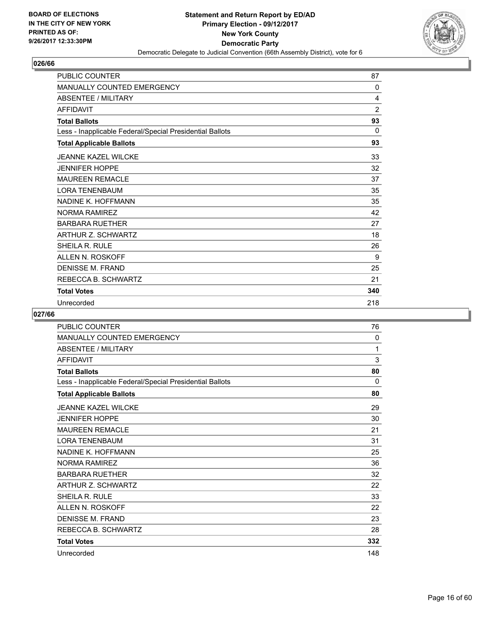

| <b>PUBLIC COUNTER</b>                                    | 87             |
|----------------------------------------------------------|----------------|
| MANUALLY COUNTED EMERGENCY                               | 0              |
| <b>ABSENTEE / MILITARY</b>                               | 4              |
| <b>AFFIDAVIT</b>                                         | $\overline{2}$ |
| <b>Total Ballots</b>                                     | 93             |
| Less - Inapplicable Federal/Special Presidential Ballots | $\mathbf{0}$   |
| <b>Total Applicable Ballots</b>                          | 93             |
| <b>JEANNE KAZEL WILCKE</b>                               | 33             |
| <b>JENNIFER HOPPE</b>                                    | 32             |
| <b>MAUREEN REMACLE</b>                                   | 37             |
| <b>LORA TENENBAUM</b>                                    | 35             |
| NADINE K. HOFFMANN                                       | 35             |
| <b>NORMA RAMIREZ</b>                                     | 42             |
| <b>BARBARA RUETHER</b>                                   | 27             |
| ARTHUR Z. SCHWARTZ                                       | 18             |
| SHEILA R. RULE                                           | 26             |
| ALLEN N. ROSKOFF                                         | 9              |
| <b>DENISSE M. FRAND</b>                                  | 25             |
| REBECCA B. SCHWARTZ                                      | 21             |
| <b>Total Votes</b>                                       | 340            |
| Unrecorded                                               | 218            |

| PUBLIC COUNTER                                           | 76  |
|----------------------------------------------------------|-----|
| MANUALLY COUNTED EMERGENCY                               | 0   |
| ABSENTEE / MILITARY                                      | 1   |
| <b>AFFIDAVIT</b>                                         | 3   |
| <b>Total Ballots</b>                                     | 80  |
| Less - Inapplicable Federal/Special Presidential Ballots | 0   |
| <b>Total Applicable Ballots</b>                          | 80  |
| <b>JEANNE KAZEL WILCKE</b>                               | 29  |
| <b>JENNIFER HOPPE</b>                                    | 30  |
| <b>MAUREEN REMACLE</b>                                   | 21  |
| <b>LORA TENENBAUM</b>                                    | 31  |
| NADINE K. HOFFMANN                                       | 25  |
| <b>NORMA RAMIREZ</b>                                     | 36  |
| <b>BARBARA RUETHER</b>                                   | 32  |
| ARTHUR Z. SCHWARTZ                                       | 22  |
| <b>SHEILA R. RULE</b>                                    | 33  |
| ALLEN N. ROSKOFF                                         | 22  |
| <b>DENISSE M. FRAND</b>                                  | 23  |
| REBECCA B. SCHWARTZ                                      | 28  |
| <b>Total Votes</b>                                       | 332 |
| Unrecorded                                               | 148 |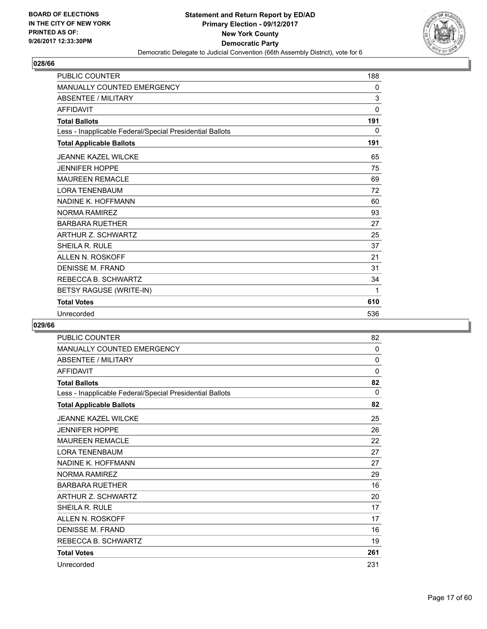

| <b>PUBLIC COUNTER</b>                                    | 188 |
|----------------------------------------------------------|-----|
| <b>MANUALLY COUNTED EMERGENCY</b>                        | 0   |
| <b>ABSENTEE / MILITARY</b>                               | 3   |
| <b>AFFIDAVIT</b>                                         | 0   |
| <b>Total Ballots</b>                                     | 191 |
| Less - Inapplicable Federal/Special Presidential Ballots | 0   |
| <b>Total Applicable Ballots</b>                          | 191 |
| <b>JEANNE KAZEL WILCKE</b>                               | 65  |
| <b>JENNIFER HOPPE</b>                                    | 75  |
| <b>MAUREEN REMACLE</b>                                   | 69  |
| <b>LORA TENENBAUM</b>                                    | 72  |
| NADINE K. HOFFMANN                                       | 60  |
| <b>NORMA RAMIREZ</b>                                     | 93  |
| <b>BARBARA RUETHER</b>                                   | 27  |
| <b>ARTHUR Z. SCHWARTZ</b>                                | 25  |
| SHEILA R. RULE                                           | 37  |
| ALLEN N. ROSKOFF                                         | 21  |
| <b>DENISSE M. FRAND</b>                                  | 31  |
| REBECCA B. SCHWARTZ                                      | 34  |
| BETSY RAGUSE (WRITE-IN)                                  | 1   |
| <b>Total Votes</b>                                       | 610 |
| Unrecorded                                               | 536 |

| <b>PUBLIC COUNTER</b>                                    | 82       |
|----------------------------------------------------------|----------|
| <b>MANUALLY COUNTED EMERGENCY</b>                        | 0        |
| <b>ABSENTEE / MILITARY</b>                               | 0        |
| <b>AFFIDAVIT</b>                                         | 0        |
| <b>Total Ballots</b>                                     | 82       |
| Less - Inapplicable Federal/Special Presidential Ballots | $\Omega$ |
| <b>Total Applicable Ballots</b>                          | 82       |
| <b>JEANNE KAZEL WILCKE</b>                               | 25       |
| <b>JENNIFER HOPPE</b>                                    | 26       |
| <b>MAUREEN REMACLE</b>                                   | 22       |
| <b>LORA TENENBAUM</b>                                    | 27       |
| NADINE K. HOFFMANN                                       | 27       |
| <b>NORMA RAMIREZ</b>                                     | 29       |
| <b>BARBARA RUETHER</b>                                   | 16       |
| <b>ARTHUR Z. SCHWARTZ</b>                                | 20       |
| <b>SHEILA R. RULE</b>                                    | 17       |
| ALLEN N. ROSKOFF                                         | 17       |
| <b>DENISSE M. FRAND</b>                                  | 16       |
| REBECCA B. SCHWARTZ                                      | 19       |
| <b>Total Votes</b>                                       | 261      |
| Unrecorded                                               | 231      |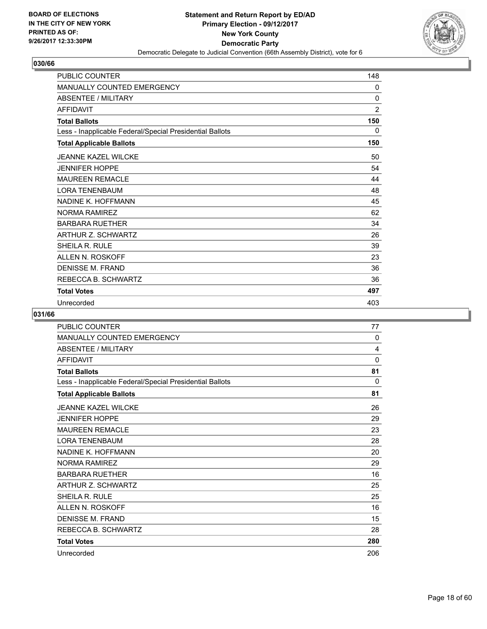

| <b>PUBLIC COUNTER</b>                                    | 148            |
|----------------------------------------------------------|----------------|
| <b>MANUALLY COUNTED EMERGENCY</b>                        | 0              |
| <b>ABSENTEE / MILITARY</b>                               | $\mathbf{0}$   |
| <b>AFFIDAVIT</b>                                         | $\overline{2}$ |
| <b>Total Ballots</b>                                     | 150            |
| Less - Inapplicable Federal/Special Presidential Ballots | 0              |
| <b>Total Applicable Ballots</b>                          | 150            |
| <b>JEANNE KAZEL WILCKE</b>                               | 50             |
| <b>JENNIFER HOPPE</b>                                    | 54             |
| <b>MAUREEN REMACLE</b>                                   | 44             |
| <b>LORA TENENBAUM</b>                                    | 48             |
| NADINE K. HOFFMANN                                       | 45             |
| <b>NORMA RAMIREZ</b>                                     | 62             |
| <b>BARBARA RUETHER</b>                                   | 34             |
| ARTHUR Z. SCHWARTZ                                       | 26             |
| <b>SHEILA R. RULE</b>                                    | 39             |
| ALLEN N. ROSKOFF                                         | 23             |
| <b>DENISSE M. FRAND</b>                                  | 36             |
| REBECCA B. SCHWARTZ                                      | 36             |
| <b>Total Votes</b>                                       | 497            |
| Unrecorded                                               | 403            |

| PUBLIC COUNTER                                           | 77  |
|----------------------------------------------------------|-----|
| <b>MANUALLY COUNTED EMERGENCY</b>                        | 0   |
| <b>ABSENTEE / MILITARY</b>                               | 4   |
| <b>AFFIDAVIT</b>                                         | 0   |
| <b>Total Ballots</b>                                     | 81  |
| Less - Inapplicable Federal/Special Presidential Ballots | 0   |
| <b>Total Applicable Ballots</b>                          | 81  |
| <b>JEANNE KAZEL WILCKE</b>                               | 26  |
| <b>JENNIFER HOPPE</b>                                    | 29  |
| <b>MAUREEN REMACLE</b>                                   | 23  |
| <b>LORA TENENBAUM</b>                                    | 28  |
| NADINE K. HOFFMANN                                       | 20  |
| <b>NORMA RAMIREZ</b>                                     | 29  |
| <b>BARBARA RUETHER</b>                                   | 16  |
| <b>ARTHUR Z. SCHWARTZ</b>                                | 25  |
| <b>SHEILA R. RULE</b>                                    | 25  |
| <b>ALLEN N. ROSKOFF</b>                                  | 16  |
| DENISSE M. FRAND                                         | 15  |
| REBECCA B. SCHWARTZ                                      | 28  |
| <b>Total Votes</b>                                       | 280 |
| Unrecorded                                               | 206 |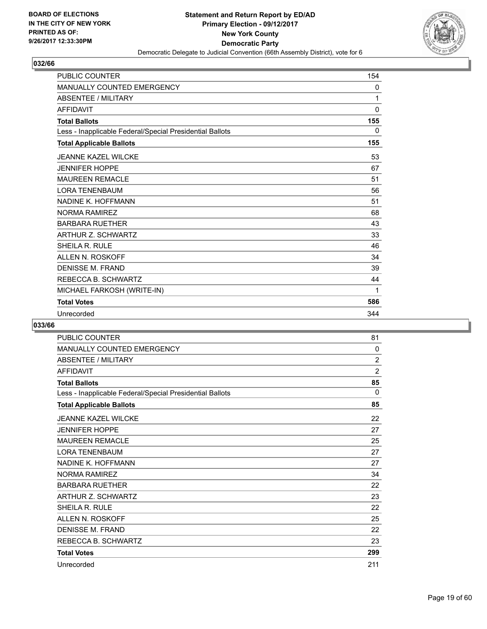

| <b>PUBLIC COUNTER</b>                                    | 154          |
|----------------------------------------------------------|--------------|
| <b>MANUALLY COUNTED EMERGENCY</b>                        | $\mathbf{0}$ |
| <b>ABSENTEE / MILITARY</b>                               | 1            |
| <b>AFFIDAVIT</b>                                         | 0            |
| <b>Total Ballots</b>                                     | 155          |
| Less - Inapplicable Federal/Special Presidential Ballots | 0            |
| <b>Total Applicable Ballots</b>                          | 155          |
| <b>JEANNE KAZEL WILCKE</b>                               | 53           |
| <b>JENNIFER HOPPE</b>                                    | 67           |
| <b>MAUREEN REMACLE</b>                                   | 51           |
| <b>LORA TENENBAUM</b>                                    | 56           |
| NADINE K. HOFFMANN                                       | 51           |
| <b>NORMA RAMIREZ</b>                                     | 68           |
| <b>BARBARA RUETHER</b>                                   | 43           |
| <b>ARTHUR Z. SCHWARTZ</b>                                | 33           |
| SHEILA R. RULE                                           | 46           |
| ALLEN N. ROSKOFF                                         | 34           |
| <b>DENISSE M. FRAND</b>                                  | 39           |
| REBECCA B. SCHWARTZ                                      | 44           |
| MICHAEL FARKOSH (WRITE-IN)                               | 1            |
| <b>Total Votes</b>                                       | 586          |
| Unrecorded                                               | 344          |

| <b>PUBLIC COUNTER</b>                                    | 81             |
|----------------------------------------------------------|----------------|
| <b>MANUALLY COUNTED EMERGENCY</b>                        | 0              |
| <b>ABSENTEE / MILITARY</b>                               | $\overline{2}$ |
| <b>AFFIDAVIT</b>                                         | $\overline{2}$ |
| <b>Total Ballots</b>                                     | 85             |
| Less - Inapplicable Federal/Special Presidential Ballots | $\Omega$       |
| <b>Total Applicable Ballots</b>                          | 85             |
| <b>JEANNE KAZEL WILCKE</b>                               | 22             |
| <b>JENNIFER HOPPE</b>                                    | 27             |
| <b>MAUREEN REMACLE</b>                                   | 25             |
| <b>LORA TENENBAUM</b>                                    | 27             |
| NADINE K. HOFFMANN                                       | 27             |
| <b>NORMA RAMIREZ</b>                                     | 34             |
| <b>BARBARA RUETHER</b>                                   | 22             |
| ARTHUR Z. SCHWARTZ                                       | 23             |
| SHEILA R. RULE                                           | 22             |
| ALLEN N. ROSKOFF                                         | 25             |
| <b>DENISSE M. FRAND</b>                                  | 22             |
| REBECCA B. SCHWARTZ                                      | 23             |
| <b>Total Votes</b>                                       | 299            |
| Unrecorded                                               | 211            |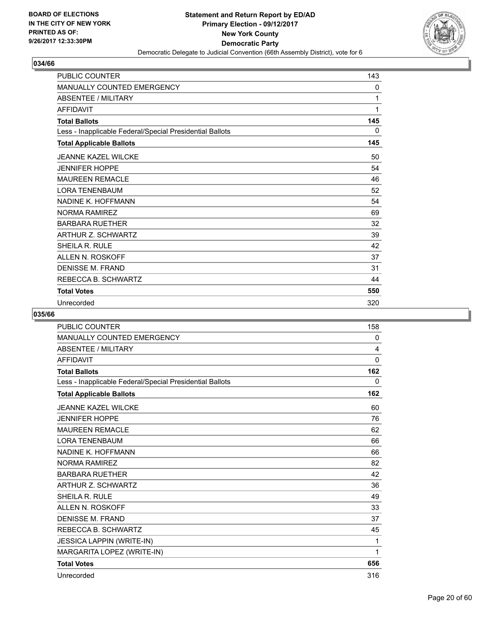

| <b>PUBLIC COUNTER</b>                                    | 143 |
|----------------------------------------------------------|-----|
| MANUALLY COUNTED EMERGENCY                               | 0   |
| <b>ABSENTEE / MILITARY</b>                               | 1   |
| <b>AFFIDAVIT</b>                                         | 1   |
| <b>Total Ballots</b>                                     | 145 |
| Less - Inapplicable Federal/Special Presidential Ballots | 0   |
| <b>Total Applicable Ballots</b>                          | 145 |
| <b>JEANNE KAZEL WILCKE</b>                               | 50  |
| <b>JENNIFER HOPPE</b>                                    | 54  |
| <b>MAUREEN REMACLE</b>                                   | 46  |
| <b>LORA TENENBAUM</b>                                    | 52  |
| NADINE K. HOFFMANN                                       | 54  |
| <b>NORMA RAMIREZ</b>                                     | 69  |
| <b>BARBARA RUETHER</b>                                   | 32  |
| ARTHUR Z. SCHWARTZ                                       | 39  |
| SHEILA R. RULE                                           | 42  |
| ALLEN N. ROSKOFF                                         | 37  |
| <b>DENISSE M. FRAND</b>                                  | 31  |
| REBECCA B. SCHWARTZ                                      | 44  |
| <b>Total Votes</b>                                       | 550 |
| Unrecorded                                               | 320 |

| <b>PUBLIC COUNTER</b>                                    | 158      |
|----------------------------------------------------------|----------|
| <b>MANUALLY COUNTED EMERGENCY</b>                        | 0        |
| ABSENTEE / MILITARY                                      | 4        |
| <b>AFFIDAVIT</b>                                         | $\Omega$ |
| <b>Total Ballots</b>                                     | 162      |
| Less - Inapplicable Federal/Special Presidential Ballots | 0        |
| <b>Total Applicable Ballots</b>                          | 162      |
| <b>JEANNE KAZEL WILCKE</b>                               | 60       |
| <b>JENNIFER HOPPE</b>                                    | 76       |
| <b>MAUREEN REMACLE</b>                                   | 62       |
| <b>LORA TENENBAUM</b>                                    | 66       |
| NADINE K. HOFFMANN                                       | 66       |
| <b>NORMA RAMIREZ</b>                                     | 82       |
| <b>BARBARA RUETHER</b>                                   | 42       |
| <b>ARTHUR Z. SCHWARTZ</b>                                | 36       |
| SHEILA R. RULE                                           | 49       |
| ALLEN N. ROSKOFF                                         | 33       |
| <b>DENISSE M. FRAND</b>                                  | 37       |
| REBECCA B. SCHWARTZ                                      | 45       |
| JESSICA LAPPIN (WRITE-IN)                                | 1        |
| MARGARITA LOPEZ (WRITE-IN)                               | 1        |
| <b>Total Votes</b>                                       | 656      |
| Unrecorded                                               | 316      |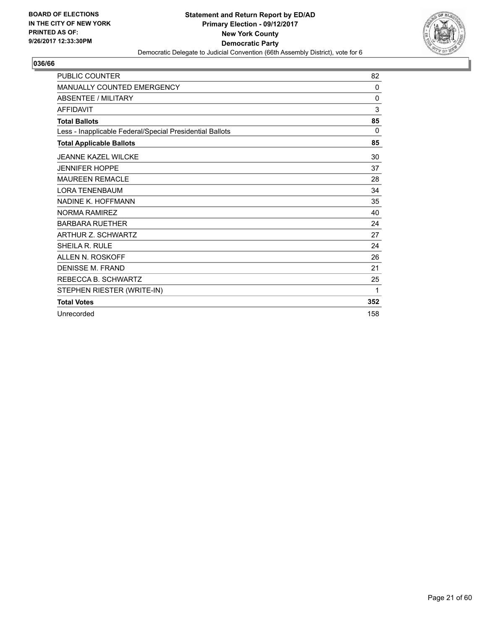

| <b>PUBLIC COUNTER</b>                                    | 82           |
|----------------------------------------------------------|--------------|
| <b>MANUALLY COUNTED EMERGENCY</b>                        | 0            |
| <b>ABSENTEE / MILITARY</b>                               | $\mathbf{0}$ |
| <b>AFFIDAVIT</b>                                         | 3            |
| <b>Total Ballots</b>                                     | 85           |
| Less - Inapplicable Federal/Special Presidential Ballots | $\Omega$     |
| <b>Total Applicable Ballots</b>                          | 85           |
| <b>JEANNE KAZEL WILCKE</b>                               | 30           |
| <b>JENNIFER HOPPE</b>                                    | 37           |
| <b>MAUREEN REMACLE</b>                                   | 28           |
| <b>LORA TENENBAUM</b>                                    | 34           |
| NADINE K. HOFFMANN                                       | 35           |
| NORMA RAMIRFZ                                            | 40           |
| <b>BARBARA RUETHER</b>                                   | 24           |
| <b>ARTHUR Z. SCHWARTZ</b>                                | 27           |
| SHEILA R. RULE                                           | 24           |
| ALLEN N. ROSKOFF                                         | 26           |
| <b>DENISSE M. FRAND</b>                                  | 21           |
| REBECCA B. SCHWARTZ                                      | 25           |
| STEPHEN RIESTER (WRITE-IN)                               | 1            |
| <b>Total Votes</b>                                       | 352          |
| Unrecorded                                               | 158          |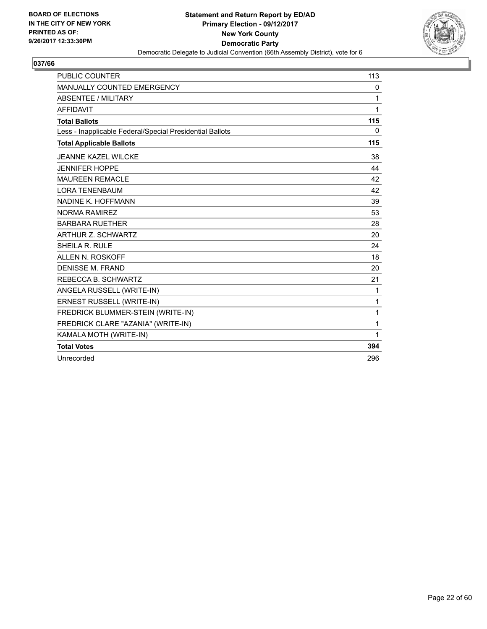

| <b>PUBLIC COUNTER</b>                                    | 113          |
|----------------------------------------------------------|--------------|
| MANUALLY COUNTED EMERGENCY                               | 0            |
| <b>ABSENTEE / MILITARY</b>                               | 1            |
| <b>AFFIDAVIT</b>                                         | 1            |
| <b>Total Ballots</b>                                     | 115          |
| Less - Inapplicable Federal/Special Presidential Ballots | $\Omega$     |
| <b>Total Applicable Ballots</b>                          | 115          |
| <b>JEANNE KAZEL WILCKE</b>                               | 38           |
| <b>JENNIFER HOPPE</b>                                    | 44           |
| <b>MAUREEN REMACLE</b>                                   | 42           |
| <b>LORA TENENBAUM</b>                                    | 42           |
| NADINE K. HOFFMANN                                       | 39           |
| NORMA RAMIRFZ                                            | 53           |
| <b>BARBARA RUETHER</b>                                   | 28           |
| <b>ARTHUR Z. SCHWARTZ</b>                                | 20           |
| SHEILA R. RULE                                           | 24           |
| ALLEN N. ROSKOFF                                         | 18           |
| <b>DENISSE M. FRAND</b>                                  | 20           |
| REBECCA B. SCHWARTZ                                      | 21           |
| ANGELA RUSSELL (WRITE-IN)                                | 1            |
| ERNEST RUSSELL (WRITE-IN)                                | $\mathbf{1}$ |
| FREDRICK BLUMMER-STEIN (WRITE-IN)                        | $\mathbf{1}$ |
| FREDRICK CLARE "AZANIA" (WRITE-IN)                       | $\mathbf{1}$ |
| KAMALA MOTH (WRITE-IN)                                   | 1            |
| <b>Total Votes</b>                                       | 394          |
| Unrecorded                                               | 296          |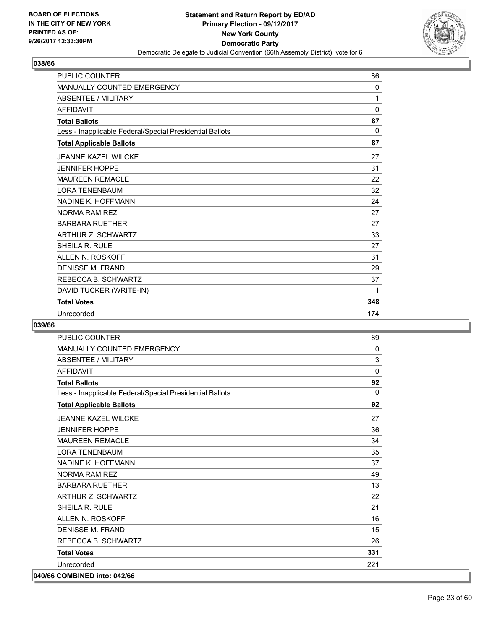

| <b>PUBLIC COUNTER</b>                                    | 86           |
|----------------------------------------------------------|--------------|
| <b>MANUALLY COUNTED EMERGENCY</b>                        | $\mathbf{0}$ |
| <b>ABSENTEE / MILITARY</b>                               | 1            |
| <b>AFFIDAVIT</b>                                         | $\mathbf 0$  |
| <b>Total Ballots</b>                                     | 87           |
| Less - Inapplicable Federal/Special Presidential Ballots | $\Omega$     |
| <b>Total Applicable Ballots</b>                          | 87           |
| <b>JEANNE KAZEL WILCKE</b>                               | 27           |
| <b>JENNIFER HOPPE</b>                                    | 31           |
| <b>MAUREEN REMACLE</b>                                   | 22           |
| <b>LORA TENENBAUM</b>                                    | 32           |
| NADINE K. HOFFMANN                                       | 24           |
| NORMA RAMIRFZ                                            | 27           |
| <b>BARBARA RUETHER</b>                                   | 27           |
| <b>ARTHUR Z. SCHWARTZ</b>                                | 33           |
| SHEILA R. RULE                                           | 27           |
| ALLEN N. ROSKOFF                                         | 31           |
| <b>DENISSE M. FRAND</b>                                  | 29           |
| REBECCA B. SCHWARTZ                                      | 37           |
| DAVID TUCKER (WRITE-IN)                                  | 1            |
| <b>Total Votes</b>                                       | 348          |
| Unrecorded                                               | 174          |

| <b>PUBLIC COUNTER</b>                                    | 89           |
|----------------------------------------------------------|--------------|
| MANUALLY COUNTED EMERGENCY                               | $\Omega$     |
| <b>ABSENTEE / MILITARY</b>                               | 3            |
| <b>AFFIDAVIT</b>                                         | $\Omega$     |
| <b>Total Ballots</b>                                     | 92           |
| Less - Inapplicable Federal/Special Presidential Ballots | $\mathbf{0}$ |
| <b>Total Applicable Ballots</b>                          | 92           |
| JFANNE KAZEL WILCKE                                      | 27           |
| <b>JENNIFER HOPPE</b>                                    | 36           |
| <b>MAUREEN REMACLE</b>                                   | 34           |
| <b>LORA TENENBAUM</b>                                    | 35           |
| NADINE K. HOFFMANN                                       | 37           |
| NORMA RAMIRFZ                                            | 49           |
| <b>BARBARA RUETHER</b>                                   | 13           |
| ARTHUR Z. SCHWARTZ                                       | 22           |
| SHEILA R. RULE                                           | 21           |
| ALLEN N. ROSKOFF                                         | 16           |
| <b>DENISSE M. FRAND</b>                                  | 15           |
| REBECCA B. SCHWARTZ                                      | 26           |
| <b>Total Votes</b>                                       | 331          |
| Unrecorded                                               | 221          |
| 040/66 COMBINED into: 042/66                             |              |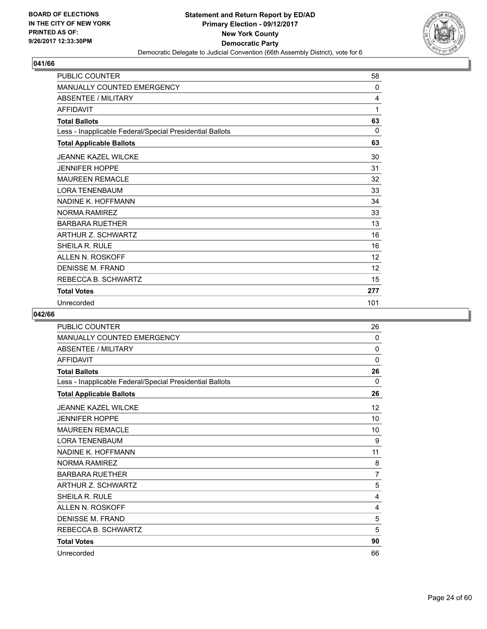

| <b>PUBLIC COUNTER</b>                                    | 58  |
|----------------------------------------------------------|-----|
| <b>MANUALLY COUNTED EMERGENCY</b>                        | 0   |
| <b>ABSENTEE / MILITARY</b>                               | 4   |
| <b>AFFIDAVIT</b>                                         | 1   |
| <b>Total Ballots</b>                                     | 63  |
| Less - Inapplicable Federal/Special Presidential Ballots | 0   |
| <b>Total Applicable Ballots</b>                          | 63  |
| <b>JEANNE KAZEL WILCKE</b>                               | 30  |
| <b>JENNIFER HOPPE</b>                                    | 31  |
| <b>MAUREEN REMACLE</b>                                   | 32  |
| <b>LORA TENENBAUM</b>                                    | 33  |
| NADINE K. HOFFMANN                                       | 34  |
| <b>NORMA RAMIREZ</b>                                     | 33  |
| <b>BARBARA RUETHER</b>                                   | 13  |
| ARTHUR Z. SCHWARTZ                                       | 16  |
| SHEILA R. RULE                                           | 16  |
| ALLEN N. ROSKOFF                                         | 12  |
| DENISSE M. FRAND                                         | 12  |
| REBECCA B. SCHWARTZ                                      | 15  |
| <b>Total Votes</b>                                       | 277 |
| Unrecorded                                               | 101 |

| PUBLIC COUNTER                                           | 26 |
|----------------------------------------------------------|----|
| <b>MANUALLY COUNTED EMERGENCY</b>                        | 0  |
| <b>ABSENTEE / MILITARY</b>                               | 0  |
| <b>AFFIDAVIT</b>                                         | 0  |
| <b>Total Ballots</b>                                     | 26 |
| Less - Inapplicable Federal/Special Presidential Ballots | 0  |
| <b>Total Applicable Ballots</b>                          | 26 |
| <b>JEANNE KAZEL WILCKE</b>                               | 12 |
| <b>JENNIFER HOPPE</b>                                    | 10 |
| <b>MAUREEN REMACLE</b>                                   | 10 |
| <b>LORA TENENBAUM</b>                                    | 9  |
| NADINE K. HOFFMANN                                       | 11 |
| <b>NORMA RAMIREZ</b>                                     | 8  |
| <b>BARBARA RUETHER</b>                                   | 7  |
| <b>ARTHUR Z. SCHWARTZ</b>                                | 5  |
| SHEILA R. RULE                                           | 4  |
| ALLEN N. ROSKOFF                                         | 4  |
| <b>DENISSE M. FRAND</b>                                  | 5  |
| REBECCA B. SCHWARTZ                                      | 5  |
| <b>Total Votes</b>                                       | 90 |
| Unrecorded                                               | 66 |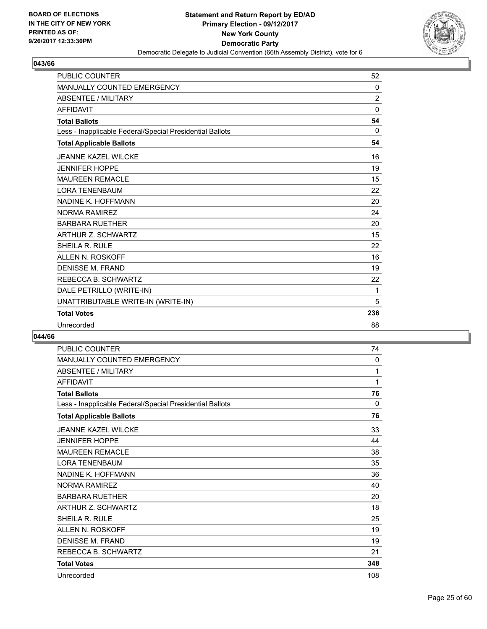

| <b>PUBLIC COUNTER</b>                                    | 52             |
|----------------------------------------------------------|----------------|
| <b>MANUALLY COUNTED EMERGENCY</b>                        | 0              |
| <b>ABSENTEE / MILITARY</b>                               | $\overline{c}$ |
| <b>AFFIDAVIT</b>                                         | $\Omega$       |
| <b>Total Ballots</b>                                     | 54             |
| Less - Inapplicable Federal/Special Presidential Ballots | $\mathbf{0}$   |
| <b>Total Applicable Ballots</b>                          | 54             |
| <b>JEANNE KAZEL WILCKE</b>                               | 16             |
| <b>JENNIFER HOPPE</b>                                    | 19             |
| <b>MAUREEN REMACLE</b>                                   | 15             |
| <b>LORA TENENBAUM</b>                                    | 22             |
| NADINE K. HOFFMANN                                       | 20             |
| <b>NORMA RAMIREZ</b>                                     | 24             |
| <b>BARBARA RUETHER</b>                                   | 20             |
| <b>ARTHUR Z. SCHWARTZ</b>                                | 15             |
| <b>SHEILA R. RULE</b>                                    | 22             |
| ALLEN N. ROSKOFF                                         | 16             |
| <b>DENISSE M. FRAND</b>                                  | 19             |
| REBECCA B. SCHWARTZ                                      | 22             |
| DALE PETRILLO (WRITE-IN)                                 | 1              |
| UNATTRIBUTABLE WRITE-IN (WRITE-IN)                       | 5              |
| <b>Total Votes</b>                                       | 236            |
| Unrecorded                                               | 88             |

| <b>PUBLIC COUNTER</b>                                    | 74       |
|----------------------------------------------------------|----------|
| MANUALLY COUNTED EMERGENCY                               | 0        |
| <b>ABSENTEE / MILITARY</b>                               | 1        |
| <b>AFFIDAVIT</b>                                         | 1        |
| <b>Total Ballots</b>                                     | 76       |
| Less - Inapplicable Federal/Special Presidential Ballots | $\Omega$ |
| <b>Total Applicable Ballots</b>                          | 76       |
| <b>JEANNE KAZEL WILCKE</b>                               | 33       |
| <b>JENNIFER HOPPE</b>                                    | 44       |
| <b>MAUREEN REMACLE</b>                                   | 38       |
| <b>LORA TENENBAUM</b>                                    | 35       |
| NADINE K. HOFFMANN                                       | 36       |
| NORMA RAMIRFZ                                            | 40       |
| <b>BARBARA RUETHER</b>                                   | 20       |
| ARTHUR Z. SCHWARTZ                                       | 18       |
| SHEILA R. RULE                                           | 25       |
| ALLEN N. ROSKOFF                                         | 19       |
| <b>DENISSE M. FRAND</b>                                  | 19       |
| REBECCA B. SCHWARTZ                                      | 21       |
| <b>Total Votes</b>                                       | 348      |
| Unrecorded                                               | 108      |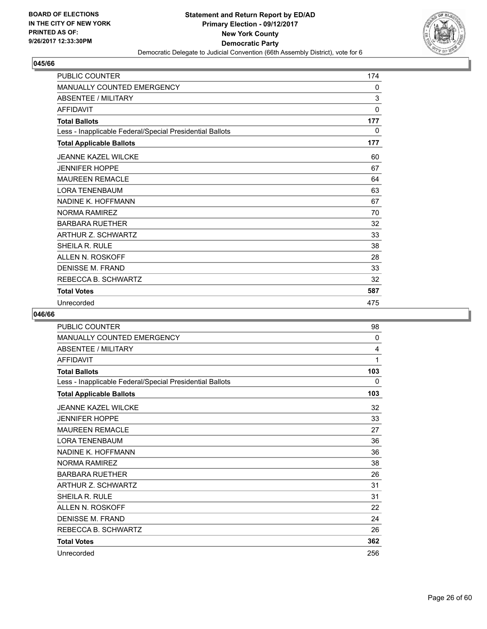

| <b>PUBLIC COUNTER</b>                                    | 174 |
|----------------------------------------------------------|-----|
| MANUALLY COUNTED EMERGENCY                               | 0   |
| <b>ABSENTEE / MILITARY</b>                               | 3   |
| <b>AFFIDAVIT</b>                                         | 0   |
| <b>Total Ballots</b>                                     | 177 |
| Less - Inapplicable Federal/Special Presidential Ballots | 0   |
| <b>Total Applicable Ballots</b>                          | 177 |
| <b>JEANNE KAZEL WILCKE</b>                               | 60  |
| <b>JENNIFER HOPPE</b>                                    | 67  |
| <b>MAUREEN REMACLE</b>                                   | 64  |
| <b>LORA TENENBAUM</b>                                    | 63  |
| NADINE K. HOFFMANN                                       | 67  |
| NORMA RAMIREZ                                            | 70  |
| <b>BARBARA RUETHER</b>                                   | 32  |
| ARTHUR Z. SCHWARTZ                                       | 33  |
| SHEILA R. RULE                                           | 38  |
| ALLEN N. ROSKOFF                                         | 28  |
| <b>DENISSE M. FRAND</b>                                  | 33  |
| REBECCA B. SCHWARTZ                                      | 32  |
| <b>Total Votes</b>                                       | 587 |
| Unrecorded                                               | 475 |

| PUBLIC COUNTER                                           | 98  |
|----------------------------------------------------------|-----|
| <b>MANUALLY COUNTED EMERGENCY</b>                        | 0   |
| <b>ABSENTEE / MILITARY</b>                               | 4   |
| <b>AFFIDAVIT</b>                                         | 1   |
| <b>Total Ballots</b>                                     | 103 |
| Less - Inapplicable Federal/Special Presidential Ballots | 0   |
| <b>Total Applicable Ballots</b>                          | 103 |
| <b>JEANNE KAZEL WILCKE</b>                               | 32  |
| <b>JENNIFER HOPPE</b>                                    | 33  |
| <b>MAUREEN REMACLE</b>                                   | 27  |
| <b>LORA TENENBAUM</b>                                    | 36  |
| NADINE K. HOFFMANN                                       | 36  |
| <b>NORMA RAMIREZ</b>                                     | 38  |
| <b>BARBARA RUETHER</b>                                   | 26  |
| <b>ARTHUR Z. SCHWARTZ</b>                                | 31  |
| <b>SHEILA R. RULE</b>                                    | 31  |
| <b>ALLEN N. ROSKOFF</b>                                  | 22  |
| DENISSE M. FRAND                                         | 24  |
| REBECCA B. SCHWARTZ                                      | 26  |
| <b>Total Votes</b>                                       | 362 |
| Unrecorded                                               | 256 |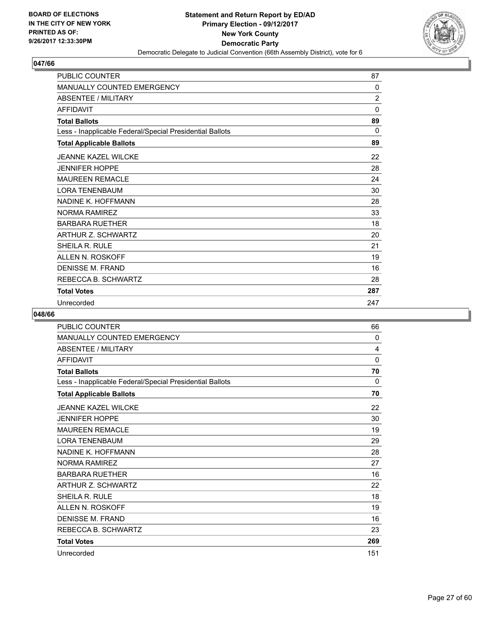

| <b>PUBLIC COUNTER</b>                                    | 87             |
|----------------------------------------------------------|----------------|
| MANUALLY COUNTED EMERGENCY                               | 0              |
| <b>ABSENTEE / MILITARY</b>                               | $\overline{2}$ |
| <b>AFFIDAVIT</b>                                         | $\mathbf 0$    |
| <b>Total Ballots</b>                                     | 89             |
| Less - Inapplicable Federal/Special Presidential Ballots | 0              |
| <b>Total Applicable Ballots</b>                          | 89             |
| <b>JEANNE KAZEL WILCKE</b>                               | 22             |
| <b>JENNIFER HOPPE</b>                                    | 28             |
| <b>MAUREEN REMACLE</b>                                   | 24             |
| <b>LORA TENENBAUM</b>                                    | 30             |
| NADINE K. HOFFMANN                                       | 28             |
| <b>NORMA RAMIREZ</b>                                     | 33             |
| <b>BARBARA RUETHER</b>                                   | 18             |
| ARTHUR Z. SCHWARTZ                                       | 20             |
| SHEILA R. RULE                                           | 21             |
| ALLEN N. ROSKOFF                                         | 19             |
| <b>DENISSE M. FRAND</b>                                  | 16             |
| REBECCA B. SCHWARTZ                                      | 28             |
| <b>Total Votes</b>                                       | 287            |
| Unrecorded                                               | 247            |

| PUBLIC COUNTER                                           | 66  |
|----------------------------------------------------------|-----|
| <b>MANUALLY COUNTED EMERGENCY</b>                        | 0   |
| <b>ABSENTEE / MILITARY</b>                               | 4   |
| <b>AFFIDAVIT</b>                                         | 0   |
| <b>Total Ballots</b>                                     | 70  |
| Less - Inapplicable Federal/Special Presidential Ballots | 0   |
| <b>Total Applicable Ballots</b>                          | 70  |
| <b>JEANNE KAZEL WILCKE</b>                               | 22  |
| <b>JENNIFER HOPPE</b>                                    | 30  |
| <b>MAUREEN REMACLE</b>                                   | 19  |
| <b>LORA TENENBAUM</b>                                    | 29  |
| NADINE K. HOFFMANN                                       | 28  |
| <b>NORMA RAMIREZ</b>                                     | 27  |
| <b>BARBARA RUETHER</b>                                   | 16  |
| <b>ARTHUR Z. SCHWARTZ</b>                                | 22  |
| <b>SHEILA R. RULE</b>                                    | 18  |
| <b>ALLEN N. ROSKOFF</b>                                  | 19  |
| DENISSE M. FRAND                                         | 16  |
| REBECCA B. SCHWARTZ                                      | 23  |
| <b>Total Votes</b>                                       | 269 |
| Unrecorded                                               | 151 |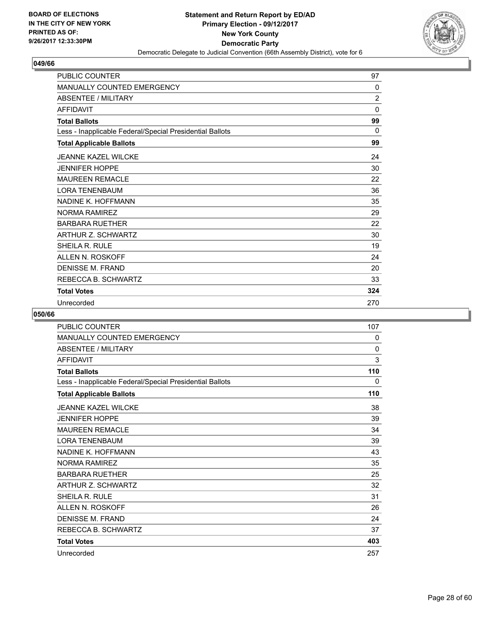

| <b>PUBLIC COUNTER</b>                                    | 97             |
|----------------------------------------------------------|----------------|
| MANUALLY COUNTED EMERGENCY                               | 0              |
| <b>ABSENTEE / MILITARY</b>                               | $\overline{2}$ |
| <b>AFFIDAVIT</b>                                         | 0              |
| <b>Total Ballots</b>                                     | 99             |
| Less - Inapplicable Federal/Special Presidential Ballots | $\Omega$       |
| <b>Total Applicable Ballots</b>                          | 99             |
| <b>JEANNE KAZEL WILCKE</b>                               | 24             |
| <b>JENNIFER HOPPE</b>                                    | 30             |
| <b>MAUREEN REMACLE</b>                                   | 22             |
| <b>LORA TENENBAUM</b>                                    | 36             |
| NADINE K. HOFFMANN                                       | 35             |
| <b>NORMA RAMIREZ</b>                                     | 29             |
| <b>BARBARA RUETHER</b>                                   | 22             |
| ARTHUR Z. SCHWARTZ                                       | 30             |
| SHEILA R. RULE                                           | 19             |
| ALLEN N. ROSKOFF                                         | 24             |
| <b>DENISSE M. FRAND</b>                                  | 20             |
| REBECCA B. SCHWARTZ                                      | 33             |
| <b>Total Votes</b>                                       | 324            |
| Unrecorded                                               | 270            |

| <b>PUBLIC COUNTER</b>                                    | 107      |
|----------------------------------------------------------|----------|
| <b>MANUALLY COUNTED EMERGENCY</b>                        | 0        |
| <b>ABSENTEE / MILITARY</b>                               | $\Omega$ |
| <b>AFFIDAVIT</b>                                         | 3        |
| <b>Total Ballots</b>                                     | 110      |
| Less - Inapplicable Federal/Special Presidential Ballots | 0        |
| <b>Total Applicable Ballots</b>                          | 110      |
| <b>JEANNE KAZEL WILCKE</b>                               | 38       |
| <b>JENNIFER HOPPE</b>                                    | 39       |
| <b>MAUREEN REMACLE</b>                                   | 34       |
| <b>LORA TENENBAUM</b>                                    | 39       |
| NADINE K. HOFFMANN                                       | 43       |
| <b>NORMA RAMIREZ</b>                                     | 35       |
| <b>BARBARA RUETHER</b>                                   | 25       |
| ARTHUR Z. SCHWARTZ                                       | 32       |
| <b>SHEILA R. RULE</b>                                    | 31       |
| <b>ALLEN N. ROSKOFF</b>                                  | 26       |
| DENISSE M. FRAND                                         | 24       |
| REBECCA B. SCHWARTZ                                      | 37       |
| <b>Total Votes</b>                                       | 403      |
| Unrecorded                                               | 257      |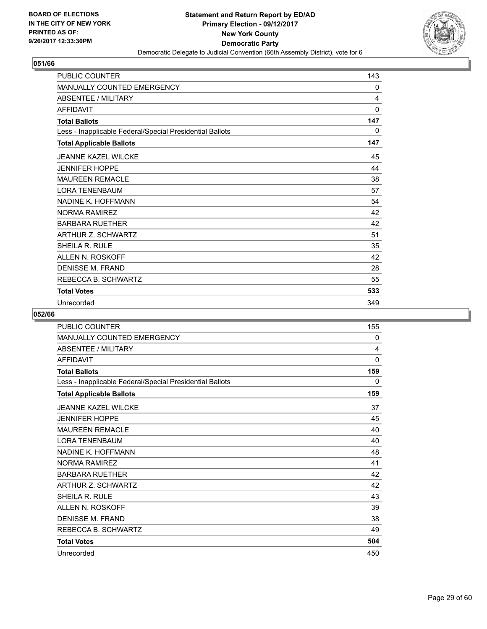

| <b>PUBLIC COUNTER</b>                                    | 143 |
|----------------------------------------------------------|-----|
| <b>MANUALLY COUNTED EMERGENCY</b>                        | 0   |
| <b>ABSENTEE / MILITARY</b>                               | 4   |
| <b>AFFIDAVIT</b>                                         | 0   |
| <b>Total Ballots</b>                                     | 147 |
| Less - Inapplicable Federal/Special Presidential Ballots | 0   |
| <b>Total Applicable Ballots</b>                          | 147 |
| <b>JEANNE KAZEL WILCKE</b>                               | 45  |
| <b>JENNIFER HOPPE</b>                                    | 44  |
| <b>MAUREEN REMACLE</b>                                   | 38  |
| <b>LORA TENENBAUM</b>                                    | 57  |
| NADINE K. HOFFMANN                                       | 54  |
| <b>NORMA RAMIREZ</b>                                     | 42  |
| <b>BARBARA RUETHER</b>                                   | 42  |
| ARTHUR Z. SCHWARTZ                                       | 51  |
| SHEILA R. RULE                                           | 35  |
| ALLEN N. ROSKOFF                                         | 42  |
| DENISSE M. FRAND                                         | 28  |
| REBECCA B. SCHWARTZ                                      | 55  |
| <b>Total Votes</b>                                       | 533 |
| Unrecorded                                               | 349 |

| PUBLIC COUNTER                                           | 155 |
|----------------------------------------------------------|-----|
| <b>MANUALLY COUNTED EMERGENCY</b>                        | 0   |
| <b>ABSENTEE / MILITARY</b>                               | 4   |
| <b>AFFIDAVIT</b>                                         | 0   |
| <b>Total Ballots</b>                                     | 159 |
| Less - Inapplicable Federal/Special Presidential Ballots | 0   |
| <b>Total Applicable Ballots</b>                          | 159 |
| <b>JEANNE KAZEL WILCKE</b>                               | 37  |
| <b>JENNIFER HOPPE</b>                                    | 45  |
| <b>MAUREEN REMACLE</b>                                   | 40  |
| <b>LORA TENENBAUM</b>                                    | 40  |
| NADINE K. HOFFMANN                                       | 48  |
| <b>NORMA RAMIREZ</b>                                     | 41  |
| <b>BARBARA RUETHER</b>                                   | 42  |
| <b>ARTHUR Z. SCHWARTZ</b>                                | 42  |
| <b>SHEILA R. RULE</b>                                    | 43  |
| ALLEN N. ROSKOFF                                         | 39  |
| DENISSE M. FRAND                                         | 38  |
| REBECCA B. SCHWARTZ                                      | 49  |
| <b>Total Votes</b>                                       | 504 |
| Unrecorded                                               | 450 |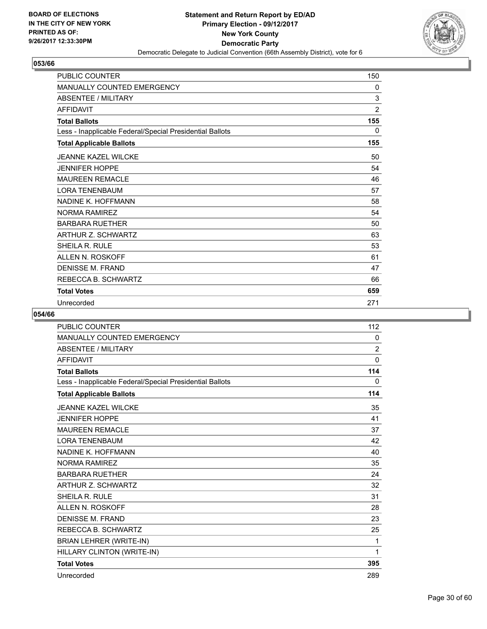

| <b>PUBLIC COUNTER</b>                                    | 150            |
|----------------------------------------------------------|----------------|
| MANUALLY COUNTED EMERGENCY                               | 0              |
| <b>ABSENTEE / MILITARY</b>                               | 3              |
| <b>AFFIDAVIT</b>                                         | $\overline{2}$ |
| <b>Total Ballots</b>                                     | 155            |
| Less - Inapplicable Federal/Special Presidential Ballots | $\mathbf{0}$   |
| <b>Total Applicable Ballots</b>                          | 155            |
| <b>JEANNE KAZEL WILCKE</b>                               | 50             |
| <b>JENNIFER HOPPE</b>                                    | 54             |
| <b>MAUREEN REMACLE</b>                                   | 46             |
| <b>LORA TENENBAUM</b>                                    | 57             |
| NADINE K. HOFFMANN                                       | 58             |
| <b>NORMA RAMIREZ</b>                                     | 54             |
| <b>BARBARA RUETHER</b>                                   | 50             |
| ARTHUR Z. SCHWARTZ                                       | 63             |
| SHEILA R. RULE                                           | 53             |
| ALLEN N. ROSKOFF                                         | 61             |
| <b>DENISSE M. FRAND</b>                                  | 47             |
| REBECCA B. SCHWARTZ                                      | 66             |
| <b>Total Votes</b>                                       | 659            |
| Unrecorded                                               | 271            |

| <b>PUBLIC COUNTER</b>                                    | 112            |
|----------------------------------------------------------|----------------|
| <b>MANUALLY COUNTED EMERGENCY</b>                        | 0              |
| <b>ABSENTEE / MILITARY</b>                               | $\overline{2}$ |
| <b>AFFIDAVIT</b>                                         | $\mathbf{0}$   |
| <b>Total Ballots</b>                                     | 114            |
| Less - Inapplicable Federal/Special Presidential Ballots | 0              |
| <b>Total Applicable Ballots</b>                          | 114            |
| <b>JEANNE KAZEL WILCKE</b>                               | 35             |
| <b>JENNIFER HOPPE</b>                                    | 41             |
| <b>MAUREEN REMACLE</b>                                   | 37             |
| <b>LORA TENENBAUM</b>                                    | 42             |
| NADINE K. HOFFMANN                                       | 40             |
| <b>NORMA RAMIREZ</b>                                     | 35             |
| <b>BARBARA RUETHER</b>                                   | 24             |
| ARTHUR Z. SCHWARTZ                                       | 32             |
| <b>SHEILA R. RULE</b>                                    | 31             |
| ALLEN N. ROSKOFF                                         | 28             |
| <b>DENISSE M. FRAND</b>                                  | 23             |
| REBECCA B. SCHWARTZ                                      | 25             |
| BRIAN LEHRER (WRITE-IN)                                  | 1              |
| HILLARY CLINTON (WRITE-IN)                               | 1              |
| <b>Total Votes</b>                                       | 395            |
| Unrecorded                                               | 289            |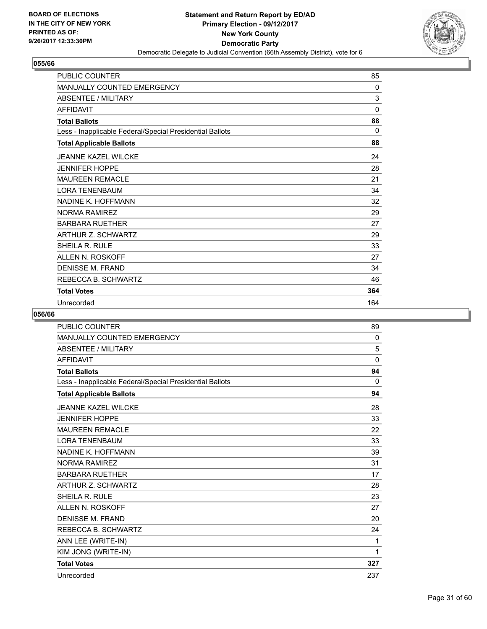

| <b>PUBLIC COUNTER</b>                                    | 85       |
|----------------------------------------------------------|----------|
| <b>MANUALLY COUNTED EMERGENCY</b>                        | $\Omega$ |
| <b>ABSENTEE / MILITARY</b>                               | 3        |
| <b>AFFIDAVIT</b>                                         | 0        |
| <b>Total Ballots</b>                                     | 88       |
| Less - Inapplicable Federal/Special Presidential Ballots | $\Omega$ |
| <b>Total Applicable Ballots</b>                          | 88       |
| <b>JEANNE KAZEL WILCKE</b>                               | 24       |
| <b>JENNIFER HOPPE</b>                                    | 28       |
| <b>MAUREEN REMACLE</b>                                   | 21       |
| <b>LORA TENENBAUM</b>                                    | 34       |
| NADINE K. HOFFMANN                                       | 32       |
| <b>NORMA RAMIREZ</b>                                     | 29       |
| <b>BARBARA RUETHER</b>                                   | 27       |
| ARTHUR Z. SCHWARTZ                                       | 29       |
| SHEILA R. RULE                                           | 33       |
| ALLEN N. ROSKOFF                                         | 27       |
| <b>DENISSE M. FRAND</b>                                  | 34       |
| REBECCA B. SCHWARTZ                                      | 46       |
| <b>Total Votes</b>                                       | 364      |
| Unrecorded                                               | 164      |

| <b>PUBLIC COUNTER</b>                                    | 89           |
|----------------------------------------------------------|--------------|
| <b>MANUALLY COUNTED EMERGENCY</b>                        | 0            |
| <b>ABSENTEE / MILITARY</b>                               | 5            |
| <b>AFFIDAVIT</b>                                         | $\mathbf{0}$ |
| <b>Total Ballots</b>                                     | 94           |
| Less - Inapplicable Federal/Special Presidential Ballots | $\mathbf{0}$ |
| <b>Total Applicable Ballots</b>                          | 94           |
| <b>JEANNE KAZEL WILCKE</b>                               | 28           |
| <b>JENNIFER HOPPE</b>                                    | 33           |
| <b>MAUREEN REMACLE</b>                                   | 22           |
| <b>LORA TENENBAUM</b>                                    | 33           |
| NADINE K. HOFFMANN                                       | 39           |
| <b>NORMA RAMIREZ</b>                                     | 31           |
| <b>BARBARA RUETHER</b>                                   | 17           |
| ARTHUR Z. SCHWARTZ                                       | 28           |
| <b>SHEILA R. RULE</b>                                    | 23           |
| ALLEN N. ROSKOFF                                         | 27           |
| <b>DENISSE M. FRAND</b>                                  | 20           |
| REBECCA B. SCHWARTZ                                      | 24           |
| ANN LEE (WRITE-IN)                                       | 1            |
| KIM JONG (WRITE-IN)                                      | 1            |
| <b>Total Votes</b>                                       | 327          |
| Unrecorded                                               | 237          |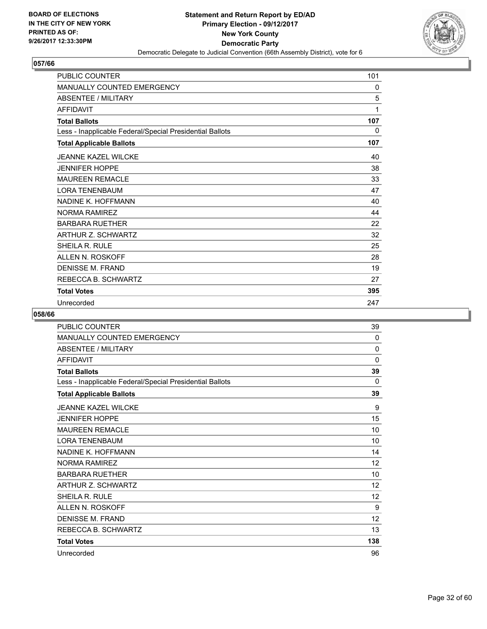

| <b>PUBLIC COUNTER</b>                                    | 101 |
|----------------------------------------------------------|-----|
| <b>MANUALLY COUNTED EMERGENCY</b>                        | 0   |
| <b>ABSENTEE / MILITARY</b>                               | 5   |
| <b>AFFIDAVIT</b>                                         | 1   |
| <b>Total Ballots</b>                                     | 107 |
| Less - Inapplicable Federal/Special Presidential Ballots | 0   |
| <b>Total Applicable Ballots</b>                          | 107 |
| <b>JEANNE KAZEL WILCKE</b>                               | 40  |
| <b>JENNIFER HOPPE</b>                                    | 38  |
| <b>MAUREEN REMACLE</b>                                   | 33  |
| <b>LORA TENENBAUM</b>                                    | 47  |
| NADINE K. HOFFMANN                                       | 40  |
| <b>NORMA RAMIREZ</b>                                     | 44  |
| <b>BARBARA RUETHER</b>                                   | 22  |
| ARTHUR Z. SCHWARTZ                                       | 32  |
| SHEILA R. RULE                                           | 25  |
| ALLEN N. ROSKOFF                                         | 28  |
| DENISSE M. FRAND                                         | 19  |
| REBECCA B. SCHWARTZ                                      | 27  |
| <b>Total Votes</b>                                       | 395 |
| Unrecorded                                               | 247 |

| <b>PUBLIC COUNTER</b>                                    | 39           |
|----------------------------------------------------------|--------------|
| <b>MANUALLY COUNTED EMERGENCY</b>                        | 0            |
| <b>ABSENTEE / MILITARY</b>                               | $\Omega$     |
| <b>AFFIDAVIT</b>                                         | $\mathbf{0}$ |
| <b>Total Ballots</b>                                     | 39           |
| Less - Inapplicable Federal/Special Presidential Ballots | 0            |
| <b>Total Applicable Ballots</b>                          | 39           |
| <b>JEANNE KAZEL WILCKE</b>                               | 9            |
| <b>JENNIFER HOPPE</b>                                    | 15           |
| <b>MAUREEN REMACLE</b>                                   | 10           |
| <b>LORA TENENBAUM</b>                                    | 10           |
| NADINE K. HOFFMANN                                       | 14           |
| <b>NORMA RAMIREZ</b>                                     | 12           |
| <b>BARBARA RUETHER</b>                                   | 10           |
| ARTHUR Z. SCHWARTZ                                       | 12           |
| <b>SHEILA R. RULE</b>                                    | 12           |
| <b>ALLEN N. ROSKOFF</b>                                  | 9            |
| DENISSE M. FRAND                                         | 12           |
| REBECCA B. SCHWARTZ                                      | 13           |
| <b>Total Votes</b>                                       | 138          |
| Unrecorded                                               | 96           |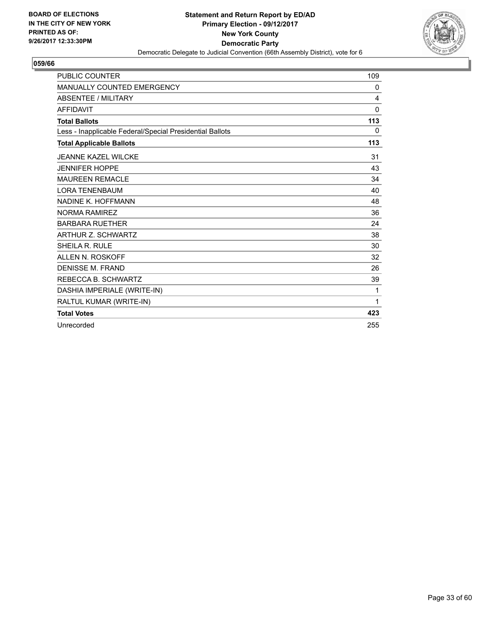

| <b>PUBLIC COUNTER</b>                                    | 109          |
|----------------------------------------------------------|--------------|
| <b>MANUALLY COUNTED EMERGENCY</b>                        | 0            |
| <b>ABSENTEE / MILITARY</b>                               | 4            |
| <b>AFFIDAVIT</b>                                         | $\mathbf{0}$ |
| <b>Total Ballots</b>                                     | 113          |
| Less - Inapplicable Federal/Special Presidential Ballots | 0            |
| <b>Total Applicable Ballots</b>                          | 113          |
| <b>JEANNE KAZEL WILCKE</b>                               | 31           |
| <b>JENNIFER HOPPE</b>                                    | 43           |
| <b>MAUREEN REMACLE</b>                                   | 34           |
| <b>LORA TENENBAUM</b>                                    | 40           |
| NADINE K. HOFFMANN                                       | 48           |
| <b>NORMA RAMIREZ</b>                                     | 36           |
| <b>BARBARA RUETHER</b>                                   | 24           |
| <b>ARTHUR Z. SCHWARTZ</b>                                | 38           |
| <b>SHEILA R. RULE</b>                                    | 30           |
| ALLEN N. ROSKOFF                                         | 32           |
| DENISSE M. FRAND                                         | 26           |
| REBECCA B. SCHWARTZ                                      | 39           |
| DASHIA IMPERIALE (WRITE-IN)                              | 1            |
| RALTUL KUMAR (WRITE-IN)                                  | 1            |
| <b>Total Votes</b>                                       | 423          |
| Unrecorded                                               | 255          |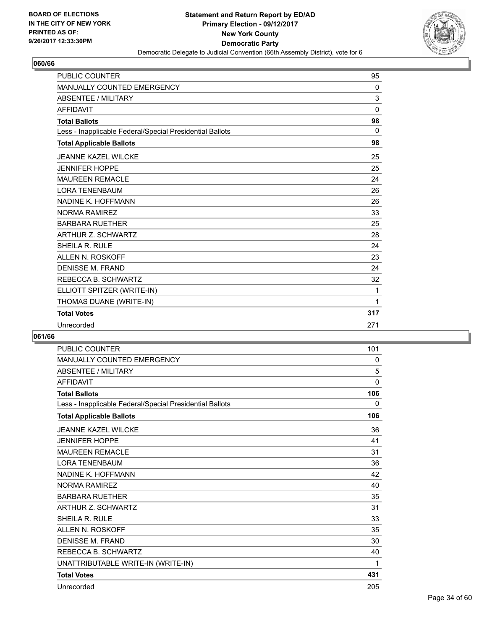

| <b>PUBLIC COUNTER</b>                                    | 95       |
|----------------------------------------------------------|----------|
| <b>MANUALLY COUNTED EMERGENCY</b>                        | 0        |
| <b>ABSENTEE / MILITARY</b>                               | 3        |
| <b>AFFIDAVIT</b>                                         | $\Omega$ |
| <b>Total Ballots</b>                                     | 98       |
| Less - Inapplicable Federal/Special Presidential Ballots | 0        |
| <b>Total Applicable Ballots</b>                          | 98       |
| JEANNE KAZEL WILCKE                                      | 25       |
| <b>JENNIFER HOPPE</b>                                    | 25       |
| <b>MAUREEN REMACLE</b>                                   | 24       |
| <b>LORA TENENBAUM</b>                                    | 26       |
| NADINE K. HOFFMANN                                       | 26       |
| <b>NORMA RAMIREZ</b>                                     | 33       |
| <b>BARBARA RUETHER</b>                                   | 25       |
| <b>ARTHUR Z. SCHWARTZ</b>                                | 28       |
| SHEILA R. RULE                                           | 24       |
| <b>ALLEN N. ROSKOFF</b>                                  | 23       |
| <b>DENISSE M. FRAND</b>                                  | 24       |
| REBECCA B. SCHWARTZ                                      | 32       |
| ELLIOTT SPITZER (WRITE-IN)                               | 1        |
| THOMAS DUANE (WRITE-IN)                                  | 1        |
| <b>Total Votes</b>                                       | 317      |
| Unrecorded                                               | 271      |

| <b>PUBLIC COUNTER</b>                                    | 101 |
|----------------------------------------------------------|-----|
| <b>MANUALLY COUNTED EMERGENCY</b>                        | 0   |
| <b>ABSENTEE / MILITARY</b>                               | 5   |
| <b>AFFIDAVIT</b>                                         | 0   |
| <b>Total Ballots</b>                                     | 106 |
| Less - Inapplicable Federal/Special Presidential Ballots | 0   |
| <b>Total Applicable Ballots</b>                          | 106 |
| <b>JEANNE KAZEL WILCKE</b>                               | 36  |
| <b>JENNIFER HOPPE</b>                                    | 41  |
| <b>MAUREEN REMACLE</b>                                   | 31  |
| <b>LORA TENENBAUM</b>                                    | 36  |
| NADINE K. HOFFMANN                                       | 42  |
| <b>NORMA RAMIREZ</b>                                     | 40  |
| <b>BARBARA RUETHER</b>                                   | 35  |
| <b>ARTHUR Z. SCHWARTZ</b>                                | 31  |
| <b>SHEILA R. RULE</b>                                    | 33  |
| ALLEN N. ROSKOFF                                         | 35  |
| <b>DENISSE M. FRAND</b>                                  | 30  |
| REBECCA B. SCHWARTZ                                      | 40  |
| UNATTRIBUTABLE WRITE-IN (WRITE-IN)                       | 1   |
| <b>Total Votes</b>                                       | 431 |
| Unrecorded                                               | 205 |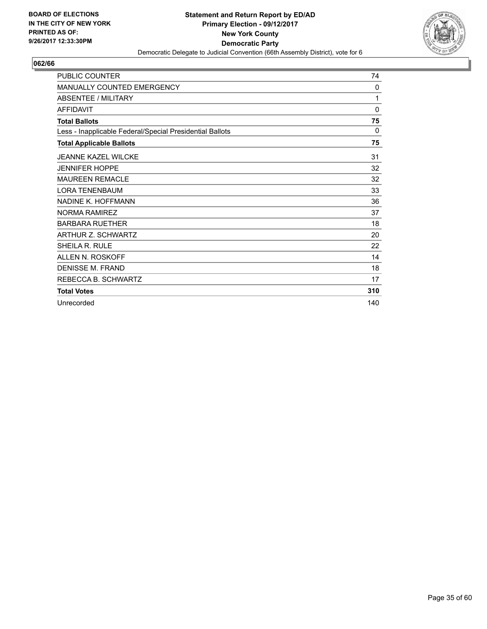

| <b>PUBLIC COUNTER</b>                                    | 74       |
|----------------------------------------------------------|----------|
| MANUALLY COUNTED EMERGENCY                               | 0        |
| <b>ABSENTEE / MILITARY</b>                               | 1        |
| <b>AFFIDAVIT</b>                                         | 0        |
| <b>Total Ballots</b>                                     | 75       |
| Less - Inapplicable Federal/Special Presidential Ballots | $\Omega$ |
| <b>Total Applicable Ballots</b>                          | 75       |
| <b>JEANNE KAZEL WILCKE</b>                               | 31       |
| <b>JENNIFER HOPPE</b>                                    | 32       |
| <b>MAUREEN REMACLE</b>                                   | 32       |
| <b>LORA TENENBAUM</b>                                    | 33       |
| NADINE K. HOFFMANN                                       | 36       |
| NORMA RAMIRFZ                                            | 37       |
| <b>BARBARA RUETHER</b>                                   | 18       |
| ARTHUR Z. SCHWARTZ                                       | 20       |
| SHEILA R. RULE                                           | 22       |
| ALLEN N. ROSKOFF                                         | 14       |
| <b>DENISSE M. FRAND</b>                                  | 18       |
| REBECCA B. SCHWARTZ                                      | 17       |
| <b>Total Votes</b>                                       | 310      |
| Unrecorded                                               | 140      |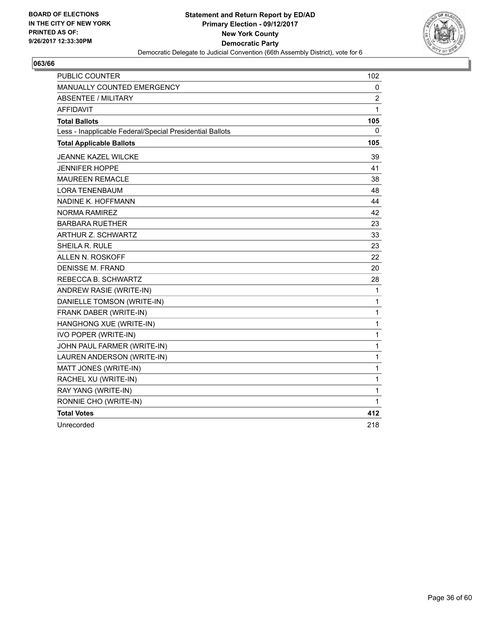

| <b>PUBLIC COUNTER</b>                                    | 102            |
|----------------------------------------------------------|----------------|
| MANUALLY COUNTED EMERGENCY                               | 0              |
| <b>ABSENTEE / MILITARY</b>                               | $\overline{2}$ |
| <b>AFFIDAVIT</b>                                         | 1              |
| <b>Total Ballots</b>                                     | 105            |
| Less - Inapplicable Federal/Special Presidential Ballots | 0              |
| <b>Total Applicable Ballots</b>                          | 105            |
| JEANNE KAZEL WILCKE                                      | 39             |
| <b>JENNIFER HOPPE</b>                                    | 41             |
| <b>MAUREEN REMACLE</b>                                   | 38             |
| <b>LORA TENENBAUM</b>                                    | 48             |
| NADINE K. HOFFMANN                                       | 44             |
| <b>NORMA RAMIREZ</b>                                     | 42             |
| <b>BARBARA RUETHER</b>                                   | 23             |
| <b>ARTHUR Z. SCHWARTZ</b>                                | 33             |
| SHEILA R. RULE                                           | 23             |
| <b>ALLEN N. ROSKOFF</b>                                  | 22             |
| DENISSE M. FRAND                                         | 20             |
| REBECCA B. SCHWARTZ                                      | 28             |
| ANDREW RASIE (WRITE-IN)                                  | 1              |
| DANIELLE TOMSON (WRITE-IN)                               | 1              |
| FRANK DABER (WRITE-IN)                                   | 1              |
| HANGHONG XUE (WRITE-IN)                                  | 1              |
| IVO POPER (WRITE-IN)                                     | $\mathbf{1}$   |
| JOHN PAUL FARMER (WRITE-IN)                              | $\mathbf{1}$   |
| LAUREN ANDERSON (WRITE-IN)                               | 1              |
| MATT JONES (WRITE-IN)                                    | 1              |
| RACHEL XU (WRITE-IN)                                     | 1              |
| RAY YANG (WRITE-IN)                                      | 1              |
| RONNIE CHO (WRITE-IN)                                    | 1              |
| <b>Total Votes</b>                                       | 412            |
| Unrecorded                                               | 218            |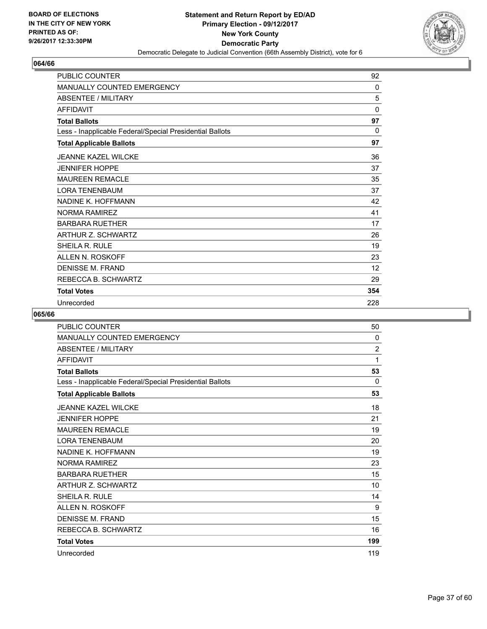

| <b>PUBLIC COUNTER</b>                                    | 92           |
|----------------------------------------------------------|--------------|
| MANUALLY COUNTED EMERGENCY                               | 0            |
| <b>ABSENTEE / MILITARY</b>                               | 5            |
| <b>AFFIDAVIT</b>                                         | 0            |
| <b>Total Ballots</b>                                     | 97           |
| Less - Inapplicable Federal/Special Presidential Ballots | $\mathbf{0}$ |
| <b>Total Applicable Ballots</b>                          | 97           |
| <b>JEANNE KAZEL WILCKE</b>                               | 36           |
| <b>JENNIFER HOPPE</b>                                    | 37           |
| <b>MAUREEN REMACLE</b>                                   | 35           |
| <b>LORA TENENBAUM</b>                                    | 37           |
| NADINE K. HOFFMANN                                       | 42           |
| <b>NORMA RAMIREZ</b>                                     | 41           |
| <b>BARBARA RUETHER</b>                                   | 17           |
| ARTHUR Z. SCHWARTZ                                       | 26           |
| SHEILA R. RULE                                           | 19           |
| ALLEN N. ROSKOFF                                         | 23           |
| <b>DENISSE M. FRAND</b>                                  | 12           |
| REBECCA B. SCHWARTZ                                      | 29           |
| <b>Total Votes</b>                                       | 354          |
| Unrecorded                                               | 228          |

| PUBLIC COUNTER                                           | 50  |
|----------------------------------------------------------|-----|
| <b>MANUALLY COUNTED EMERGENCY</b>                        | 0   |
| <b>ABSENTEE / MILITARY</b>                               | 2   |
| <b>AFFIDAVIT</b>                                         | 1   |
| <b>Total Ballots</b>                                     | 53  |
| Less - Inapplicable Federal/Special Presidential Ballots | 0   |
| <b>Total Applicable Ballots</b>                          | 53  |
| <b>JEANNE KAZEL WILCKE</b>                               | 18  |
| <b>JENNIFER HOPPE</b>                                    | 21  |
| <b>MAUREEN REMACLE</b>                                   | 19  |
| <b>LORA TENENBAUM</b>                                    | 20  |
| NADINE K. HOFFMANN                                       | 19  |
| NORMA RAMIRFZ                                            | 23  |
| <b>BARBARA RUETHER</b>                                   | 15  |
| <b>ARTHUR Z. SCHWARTZ</b>                                | 10  |
| <b>SHEILA R. RULE</b>                                    | 14  |
| <b>ALLEN N. ROSKOFF</b>                                  | 9   |
| <b>DENISSE M. FRAND</b>                                  | 15  |
| REBECCA B. SCHWARTZ                                      | 16  |
| <b>Total Votes</b>                                       | 199 |
| Unrecorded                                               | 119 |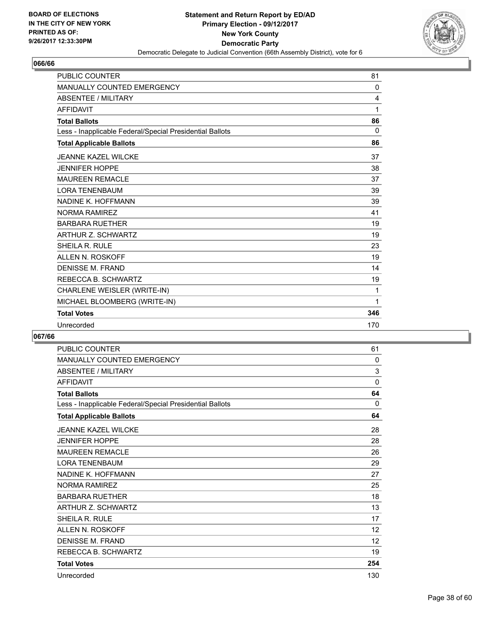

| <b>PUBLIC COUNTER</b>                                    | 81             |
|----------------------------------------------------------|----------------|
| <b>MANUALLY COUNTED EMERGENCY</b>                        | 0              |
| <b>ABSENTEE / MILITARY</b>                               | $\overline{4}$ |
| <b>AFFIDAVIT</b>                                         | 1              |
| <b>Total Ballots</b>                                     | 86             |
| Less - Inapplicable Federal/Special Presidential Ballots | 0              |
| <b>Total Applicable Ballots</b>                          | 86             |
| JEANNE KAZEL WILCKE                                      | 37             |
| <b>JENNIFER HOPPE</b>                                    | 38             |
| <b>MAUREEN REMACLE</b>                                   | 37             |
| <b>LORA TENENBAUM</b>                                    | 39             |
| NADINE K. HOFFMANN                                       | 39             |
| <b>NORMA RAMIREZ</b>                                     | 41             |
| <b>BARBARA RUETHER</b>                                   | 19             |
| <b>ARTHUR Z. SCHWARTZ</b>                                | 19             |
| <b>SHEILA R. RULE</b>                                    | 23             |
| <b>ALLEN N. ROSKOFF</b>                                  | 19             |
| <b>DENISSE M. FRAND</b>                                  | 14             |
| REBECCA B. SCHWARTZ                                      | 19             |
| CHARLENE WEISLER (WRITE-IN)                              | 1              |
| MICHAEL BLOOMBERG (WRITE-IN)                             | 1              |
| <b>Total Votes</b>                                       | 346            |
| Unrecorded                                               | 170            |

| <b>PUBLIC COUNTER</b>                                    | 61                |
|----------------------------------------------------------|-------------------|
| MANUALLY COUNTED EMERGENCY                               | 0                 |
| <b>ABSENTEE / MILITARY</b>                               | 3                 |
| <b>AFFIDAVIT</b>                                         | 0                 |
| <b>Total Ballots</b>                                     | 64                |
| Less - Inapplicable Federal/Special Presidential Ballots | $\Omega$          |
| <b>Total Applicable Ballots</b>                          | 64                |
| <b>JEANNE KAZEL WILCKE</b>                               | 28                |
| <b>JENNIFER HOPPE</b>                                    | 28                |
| <b>MAUREEN REMACLE</b>                                   | 26                |
| <b>LORA TENENBAUM</b>                                    | 29                |
| NADINE K. HOFFMANN                                       | 27                |
| NORMA RAMIRFZ                                            | 25                |
| <b>BARBARA RUETHER</b>                                   | 18                |
| ARTHUR Z. SCHWARTZ                                       | 13                |
| SHEILA R. RULE                                           | 17                |
| ALLEN N. ROSKOFF                                         | $12 \overline{ }$ |
| <b>DENISSE M. FRAND</b>                                  | 12                |
| REBECCA B. SCHWARTZ                                      | 19                |
| <b>Total Votes</b>                                       | 254               |
| Unrecorded                                               | 130               |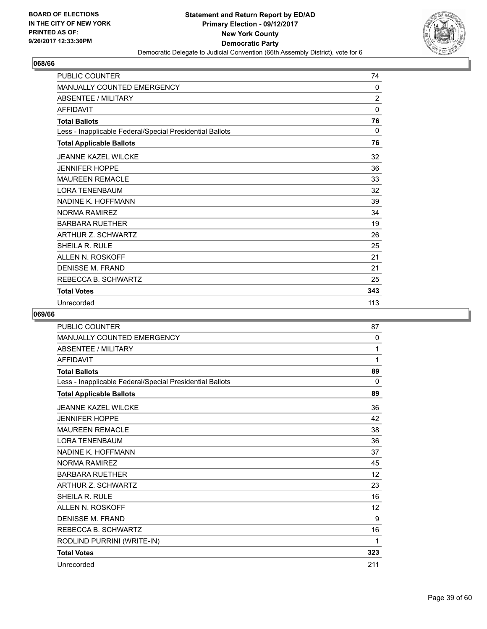

| <b>PUBLIC COUNTER</b>                                    | 74             |
|----------------------------------------------------------|----------------|
| MANUALLY COUNTED EMERGENCY                               | 0              |
| <b>ABSENTEE / MILITARY</b>                               | $\overline{2}$ |
| <b>AFFIDAVIT</b>                                         | 0              |
| <b>Total Ballots</b>                                     | 76             |
| Less - Inapplicable Federal/Special Presidential Ballots | 0              |
| <b>Total Applicable Ballots</b>                          | 76             |
| <b>JEANNE KAZEL WILCKE</b>                               | 32             |
| <b>JENNIFER HOPPE</b>                                    | 36             |
| <b>MAUREEN REMACLE</b>                                   | 33             |
| <b>LORA TENENBAUM</b>                                    | 32             |
| NADINE K. HOFFMANN                                       | 39             |
| <b>NORMA RAMIREZ</b>                                     | 34             |
| <b>BARBARA RUETHER</b>                                   | 19             |
| ARTHUR Z. SCHWARTZ                                       | 26             |
| SHEILA R. RULE                                           | 25             |
| ALLEN N. ROSKOFF                                         | 21             |
| <b>DENISSE M. FRAND</b>                                  | 21             |
| REBECCA B. SCHWARTZ                                      | 25             |
| <b>Total Votes</b>                                       | 343            |
| Unrecorded                                               | 113            |

| <b>PUBLIC COUNTER</b>                                    | 87           |
|----------------------------------------------------------|--------------|
| <b>MANUALLY COUNTED EMERGENCY</b>                        | $\mathbf{0}$ |
| ABSENTEE / MILITARY                                      | 1            |
| <b>AFFIDAVIT</b>                                         | 1            |
| <b>Total Ballots</b>                                     | 89           |
| Less - Inapplicable Federal/Special Presidential Ballots | $\mathbf{0}$ |
| <b>Total Applicable Ballots</b>                          | 89           |
| <b>JEANNE KAZEL WILCKE</b>                               | 36           |
| <b>JENNIFER HOPPE</b>                                    | 42           |
| <b>MAUREEN REMACLE</b>                                   | 38           |
| <b>LORA TENENBAUM</b>                                    | 36           |
| NADINE K. HOFFMANN                                       | 37           |
| <b>NORMA RAMIREZ</b>                                     | 45           |
| <b>BARBARA RUETHER</b>                                   | 12           |
| <b>ARTHUR Z. SCHWARTZ</b>                                | 23           |
| SHEILA R. RULE                                           | 16           |
| <b>ALLEN N. ROSKOFF</b>                                  | 12           |
| <b>DENISSE M. FRAND</b>                                  | 9            |
| REBECCA B. SCHWARTZ                                      | 16           |
| RODLIND PURRINI (WRITE-IN)                               | 1            |
| <b>Total Votes</b>                                       | 323          |
| Unrecorded                                               | 211          |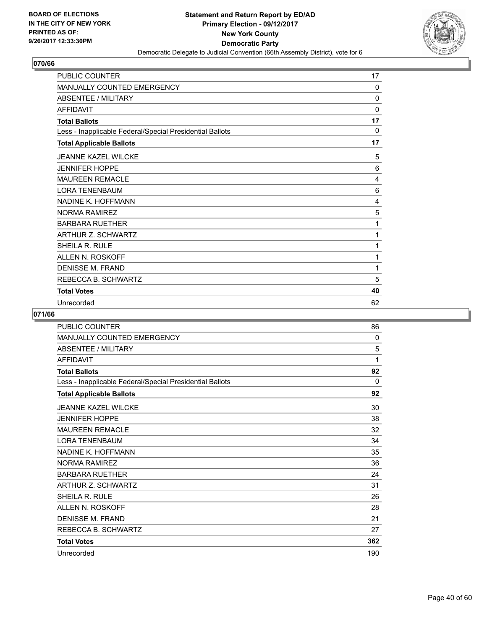

| <b>PUBLIC COUNTER</b>                                    | 17 |
|----------------------------------------------------------|----|
| <b>MANUALLY COUNTED EMERGENCY</b>                        | 0  |
| <b>ABSENTEE / MILITARY</b>                               | 0  |
| <b>AFFIDAVIT</b>                                         | 0  |
| <b>Total Ballots</b>                                     | 17 |
| Less - Inapplicable Federal/Special Presidential Ballots | 0  |
| <b>Total Applicable Ballots</b>                          | 17 |
| <b>JEANNE KAZEL WILCKE</b>                               | 5  |
| <b>JENNIFER HOPPE</b>                                    | 6  |
| <b>MAUREEN REMACLE</b>                                   | 4  |
| <b>LORA TENENBAUM</b>                                    | 6  |
| NADINE K. HOFFMANN                                       | 4  |
| <b>NORMA RAMIREZ</b>                                     | 5  |
| <b>BARBARA RUETHER</b>                                   | 1  |
| <b>ARTHUR Z. SCHWARTZ</b>                                | 1  |
| SHEILA R. RULE                                           | 1  |
| ALLEN N. ROSKOFF                                         | 1  |
| DENISSE M. FRAND                                         | 1  |
| REBECCA B. SCHWARTZ                                      | 5  |
| <b>Total Votes</b>                                       | 40 |
| Unrecorded                                               | 62 |

| <b>PUBLIC COUNTER</b>                                    | 86  |
|----------------------------------------------------------|-----|
| <b>MANUALLY COUNTED EMERGENCY</b>                        | 0   |
| <b>ABSENTEE / MILITARY</b>                               | 5   |
| <b>AFFIDAVIT</b>                                         | 1   |
| <b>Total Ballots</b>                                     | 92  |
| Less - Inapplicable Federal/Special Presidential Ballots | 0   |
| <b>Total Applicable Ballots</b>                          | 92  |
| <b>JEANNE KAZEL WILCKE</b>                               | 30  |
| <b>JENNIFER HOPPE</b>                                    | 38  |
| <b>MAUREEN REMACLE</b>                                   | 32  |
| <b>LORA TENENBAUM</b>                                    | 34  |
| NADINE K. HOFFMANN                                       | 35  |
| <b>NORMA RAMIREZ</b>                                     | 36  |
| <b>BARBARA RUETHER</b>                                   | 24  |
| ARTHUR Z. SCHWARTZ                                       | 31  |
| <b>SHEILA R. RULE</b>                                    | 26  |
| <b>ALLEN N. ROSKOFF</b>                                  | 28  |
| DENISSE M. FRAND                                         | 21  |
| REBECCA B. SCHWARTZ                                      | 27  |
| <b>Total Votes</b>                                       | 362 |
| Unrecorded                                               | 190 |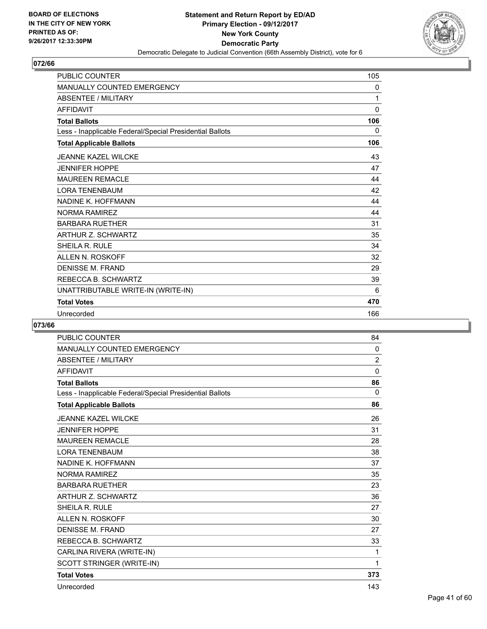

| <b>PUBLIC COUNTER</b>                                    | 105 |
|----------------------------------------------------------|-----|
| <b>MANUALLY COUNTED EMERGENCY</b>                        | 0   |
| <b>ABSENTEE / MILITARY</b>                               | 1   |
| <b>AFFIDAVIT</b>                                         | 0   |
| <b>Total Ballots</b>                                     | 106 |
| Less - Inapplicable Federal/Special Presidential Ballots | 0   |
| <b>Total Applicable Ballots</b>                          | 106 |
| <b>JEANNE KAZEL WILCKE</b>                               | 43  |
| <b>JENNIFER HOPPE</b>                                    | 47  |
| <b>MAUREEN REMACLE</b>                                   | 44  |
| <b>LORA TENENBAUM</b>                                    | 42  |
| NADINE K. HOFFMANN                                       | 44  |
| <b>NORMA RAMIREZ</b>                                     | 44  |
| <b>BARBARA RUETHER</b>                                   | 31  |
| ARTHUR Z. SCHWARTZ                                       | 35  |
| SHEILA R. RULE                                           | 34  |
| <b>ALLEN N. ROSKOFF</b>                                  | 32  |
| <b>DENISSE M. FRAND</b>                                  | 29  |
| REBECCA B. SCHWARTZ                                      | 39  |
| UNATTRIBUTABLE WRITE-IN (WRITE-IN)                       | 6   |
| <b>Total Votes</b>                                       | 470 |
| Unrecorded                                               | 166 |

| <b>PUBLIC COUNTER</b>                                    | 84             |
|----------------------------------------------------------|----------------|
| <b>MANUALLY COUNTED EMERGENCY</b>                        | 0              |
| <b>ABSENTEE / MILITARY</b>                               | $\overline{2}$ |
| <b>AFFIDAVIT</b>                                         | $\mathbf{0}$   |
| <b>Total Ballots</b>                                     | 86             |
| Less - Inapplicable Federal/Special Presidential Ballots | 0              |
| <b>Total Applicable Ballots</b>                          | 86             |
| <b>JEANNE KAZEL WILCKE</b>                               | 26             |
| <b>JENNIFER HOPPE</b>                                    | 31             |
| <b>MAUREEN REMACLE</b>                                   | 28             |
| <b>LORA TENENBAUM</b>                                    | 38             |
| <b>NADINE K. HOFFMANN</b>                                | 37             |
| <b>NORMA RAMIREZ</b>                                     | 35             |
| <b>BARBARA RUETHER</b>                                   | 23             |
| ARTHUR Z. SCHWARTZ                                       | 36             |
| SHEILA R. RULE                                           | 27             |
| <b>ALLEN N. ROSKOFF</b>                                  | 30             |
| <b>DENISSE M. FRAND</b>                                  | 27             |
| REBECCA B. SCHWARTZ                                      | 33             |
| CARLINA RIVERA (WRITE-IN)                                | 1              |
| SCOTT STRINGER (WRITE-IN)                                | 1              |
| <b>Total Votes</b>                                       | 373            |
| Unrecorded                                               | 143            |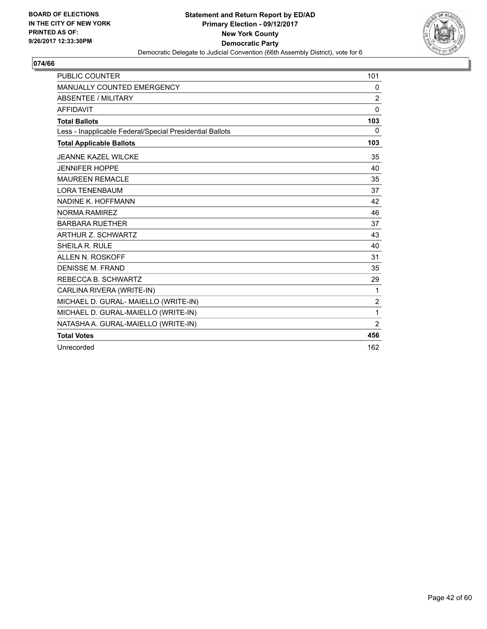

| <b>PUBLIC COUNTER</b>                                    | 101            |
|----------------------------------------------------------|----------------|
| MANUALLY COUNTED EMERGENCY                               | 0              |
| ABSENTEE / MILITARY                                      | 2              |
| <b>AFFIDAVIT</b>                                         | $\Omega$       |
| <b>Total Ballots</b>                                     | 103            |
| Less - Inapplicable Federal/Special Presidential Ballots | 0              |
| <b>Total Applicable Ballots</b>                          | 103            |
| <b>JEANNE KAZEL WILCKE</b>                               | 35             |
| <b>JENNIFER HOPPE</b>                                    | 40             |
| <b>MAUREEN REMACLE</b>                                   | 35             |
| <b>LORA TENENBAUM</b>                                    | 37             |
| NADINE K. HOFFMANN                                       | 42             |
| <b>NORMA RAMIREZ</b>                                     | 46             |
| <b>BARBARA RUETHER</b>                                   | 37             |
| ARTHUR Z. SCHWARTZ                                       | 43             |
| SHEILA R. RULE                                           | 40             |
| ALLEN N. ROSKOFF                                         | 31             |
| <b>DENISSE M. FRAND</b>                                  | 35             |
| REBECCA B. SCHWARTZ                                      | 29             |
| CARLINA RIVERA (WRITE-IN)                                | 1              |
| MICHAEL D. GURAL- MAIELLO (WRITE-IN)                     | $\overline{2}$ |
| MICHAEL D. GURAL-MAIELLO (WRITE-IN)                      | 1              |
| NATASHA A. GURAL-MAIELLO (WRITE-IN)                      | $\overline{2}$ |
| <b>Total Votes</b>                                       | 456            |
| Unrecorded                                               | 162            |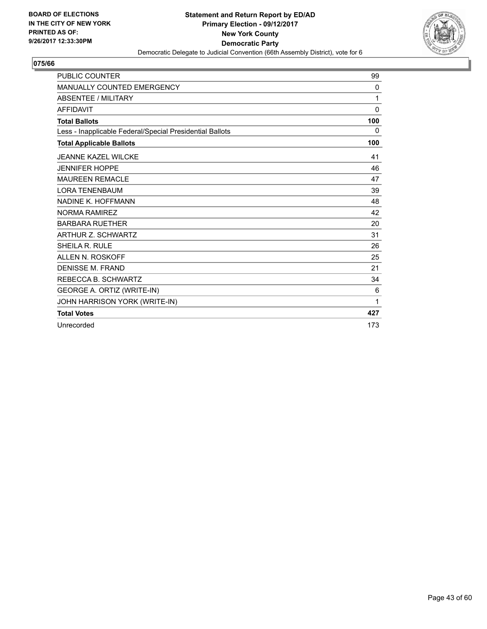

| <b>PUBLIC COUNTER</b>                                    | 99           |
|----------------------------------------------------------|--------------|
| <b>MANUALLY COUNTED EMERGENCY</b>                        | 0            |
| <b>ABSENTEE / MILITARY</b>                               | 1            |
| <b>AFFIDAVIT</b>                                         | $\mathbf{0}$ |
| <b>Total Ballots</b>                                     | 100          |
| Less - Inapplicable Federal/Special Presidential Ballots | 0            |
| <b>Total Applicable Ballots</b>                          | 100          |
| <b>JEANNE KAZEL WILCKE</b>                               | 41           |
| <b>JENNIFER HOPPE</b>                                    | 46           |
| <b>MAUREEN REMACLE</b>                                   | 47           |
| <b>LORA TENENBAUM</b>                                    | 39           |
| NADINE K. HOFFMANN                                       | 48           |
| NORMA RAMIREZ                                            | 42           |
| <b>BARBARA RUETHER</b>                                   | 20           |
| <b>ARTHUR Z. SCHWARTZ</b>                                | 31           |
| SHEILA R. RULE                                           | 26           |
| <b>ALLEN N. ROSKOFF</b>                                  | 25           |
| <b>DENISSE M. FRAND</b>                                  | 21           |
| REBECCA B. SCHWARTZ                                      | 34           |
| GEORGE A. ORTIZ (WRITE-IN)                               | 6            |
| JOHN HARRISON YORK (WRITE-IN)                            | 1            |
| <b>Total Votes</b>                                       | 427          |
| Unrecorded                                               | 173          |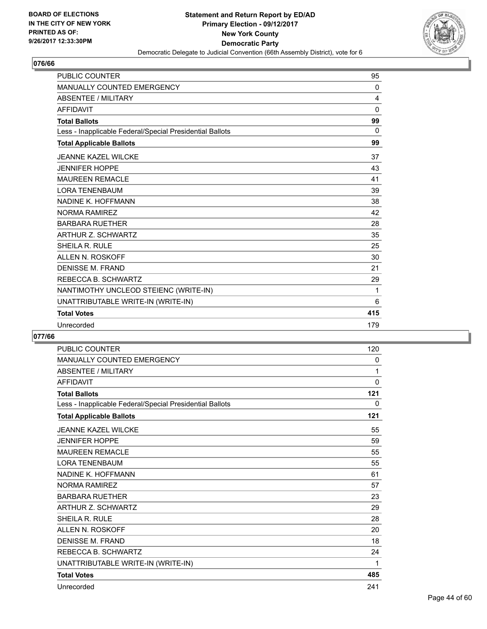

| <b>MANUALLY COUNTED EMERGENCY</b><br>0<br><b>ABSENTEE / MILITARY</b><br>4 |  |
|---------------------------------------------------------------------------|--|
|                                                                           |  |
|                                                                           |  |
| <b>AFFIDAVIT</b><br>$\Omega$                                              |  |
| 99<br><b>Total Ballots</b>                                                |  |
| $\Omega$<br>Less - Inapplicable Federal/Special Presidential Ballots      |  |
| 99<br><b>Total Applicable Ballots</b>                                     |  |
| <b>JEANNE KAZEL WILCKE</b><br>37                                          |  |
| <b>JENNIFER HOPPE</b><br>43                                               |  |
| <b>MAUREEN REMACLE</b><br>41                                              |  |
| <b>LORA TENENBAUM</b><br>39                                               |  |
| NADINE K. HOFFMANN<br>38                                                  |  |
| <b>NORMA RAMIREZ</b><br>42                                                |  |
| <b>BARBARA RUETHER</b><br>28                                              |  |
| <b>ARTHUR Z. SCHWARTZ</b><br>35                                           |  |
| SHEILA R. RULE<br>25                                                      |  |
| <b>ALLEN N. ROSKOFF</b><br>30                                             |  |
| <b>DENISSE M. FRAND</b><br>21                                             |  |
| REBECCA B. SCHWARTZ<br>29                                                 |  |
| NANTIMOTHY UNCLEOD STEIENC (WRITE-IN)<br>1                                |  |
| UNATTRIBUTABLE WRITE-IN (WRITE-IN)<br>6                                   |  |
| 415<br><b>Total Votes</b>                                                 |  |
| Unrecorded<br>179                                                         |  |

| <b>PUBLIC COUNTER</b>                                    | 120          |
|----------------------------------------------------------|--------------|
| <b>MANUALLY COUNTED EMERGENCY</b>                        | 0            |
| <b>ABSENTEE / MILITARY</b>                               | 1            |
| <b>AFFIDAVIT</b>                                         | $\mathbf{0}$ |
| <b>Total Ballots</b>                                     | 121          |
| Less - Inapplicable Federal/Special Presidential Ballots | 0            |
| <b>Total Applicable Ballots</b>                          | 121          |
| <b>JEANNE KAZEL WILCKE</b>                               | 55           |
| <b>JENNIFER HOPPE</b>                                    | 59           |
| <b>MAUREEN REMACLE</b>                                   | 55           |
| <b>LORA TENENBAUM</b>                                    | 55           |
| <b>NADINE K. HOFFMANN</b>                                | 61           |
| <b>NORMA RAMIREZ</b>                                     | 57           |
| <b>BARBARA RUETHER</b>                                   | 23           |
| <b>ARTHUR Z. SCHWARTZ</b>                                | 29           |
| <b>SHEILA R. RULE</b>                                    | 28           |
| ALLEN N. ROSKOFF                                         | 20           |
| <b>DENISSE M. FRAND</b>                                  | 18           |
| REBECCA B. SCHWARTZ                                      | 24           |
| UNATTRIBUTABLE WRITE-IN (WRITE-IN)                       | 1            |
| <b>Total Votes</b>                                       | 485          |
| Unrecorded                                               | 241          |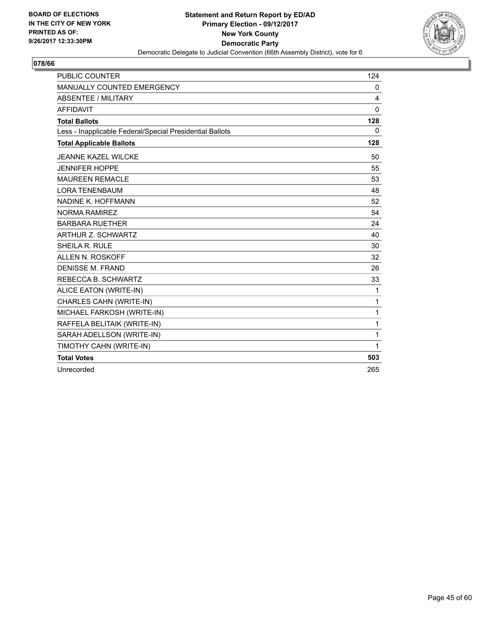

| <b>PUBLIC COUNTER</b>                                    | 124          |
|----------------------------------------------------------|--------------|
| MANUALLY COUNTED EMERGENCY                               | 0            |
| <b>ABSENTEE / MILITARY</b>                               | 4            |
| <b>AFFIDAVIT</b>                                         | $\mathbf{0}$ |
| <b>Total Ballots</b>                                     | 128          |
| Less - Inapplicable Federal/Special Presidential Ballots | $\mathbf{0}$ |
| <b>Total Applicable Ballots</b>                          | 128          |
| <b>JEANNE KAZEL WILCKE</b>                               | 50           |
| <b>JENNIFER HOPPE</b>                                    | 55           |
| <b>MAUREEN REMACLE</b>                                   | 53           |
| <b>LORA TENENBAUM</b>                                    | 48           |
| NADINE K. HOFFMANN                                       | 52           |
| <b>NORMA RAMIREZ</b>                                     | 54           |
| <b>BARBARA RUETHER</b>                                   | 24           |
| ARTHUR Z. SCHWARTZ                                       | 40           |
| SHEILA R. RULE                                           | 30           |
| ALLEN N. ROSKOFF                                         | 32           |
| <b>DENISSE M. FRAND</b>                                  | 26           |
| REBECCA B. SCHWARTZ                                      | 33           |
| ALICE EATON (WRITE-IN)                                   | 1            |
| CHARLES CAHN (WRITE-IN)                                  | 1            |
| MICHAEL FARKOSH (WRITE-IN)                               | 1            |
| RAFFELA BELITAIK (WRITE-IN)                              | 1            |
| SARAH ADELLSON (WRITE-IN)                                | 1            |
| TIMOTHY CAHN (WRITE-IN)                                  | 1            |
| <b>Total Votes</b>                                       | 503          |
| Unrecorded                                               | 265          |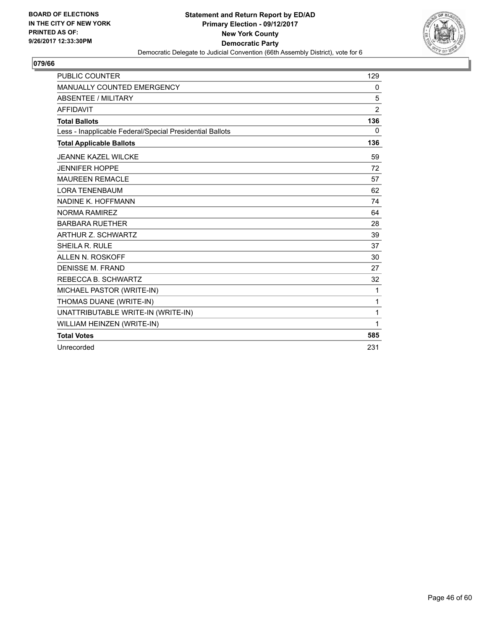

| <b>PUBLIC COUNTER</b>                                    | 129            |
|----------------------------------------------------------|----------------|
| MANUALLY COUNTED EMERGENCY                               | 0              |
| <b>ABSENTEE / MILITARY</b>                               | 5              |
| <b>AFFIDAVIT</b>                                         | $\overline{2}$ |
| <b>Total Ballots</b>                                     | 136            |
| Less - Inapplicable Federal/Special Presidential Ballots | 0              |
| <b>Total Applicable Ballots</b>                          | 136            |
| <b>JEANNE KAZEL WILCKE</b>                               | 59             |
| <b>JENNIFER HOPPE</b>                                    | 72             |
| <b>MAUREEN REMACLE</b>                                   | 57             |
| <b>LORA TENENBAUM</b>                                    | 62             |
| NADINE K. HOFFMANN                                       | 74             |
| NORMA RAMIRFZ                                            | 64             |
| <b>BARBARA RUETHER</b>                                   | 28             |
| ARTHUR Z. SCHWARTZ                                       | 39             |
| SHEILA R. RULE                                           | 37             |
| ALLEN N. ROSKOFF                                         | 30             |
| <b>DENISSE M. FRAND</b>                                  | 27             |
| REBECCA B. SCHWARTZ                                      | 32             |
| MICHAEL PASTOR (WRITE-IN)                                | 1              |
| THOMAS DUANE (WRITE-IN)                                  | 1              |
| UNATTRIBUTABLE WRITE-IN (WRITE-IN)                       | 1              |
| WILLIAM HEINZEN (WRITE-IN)                               | 1              |
| <b>Total Votes</b>                                       | 585            |
| Unrecorded                                               | 231            |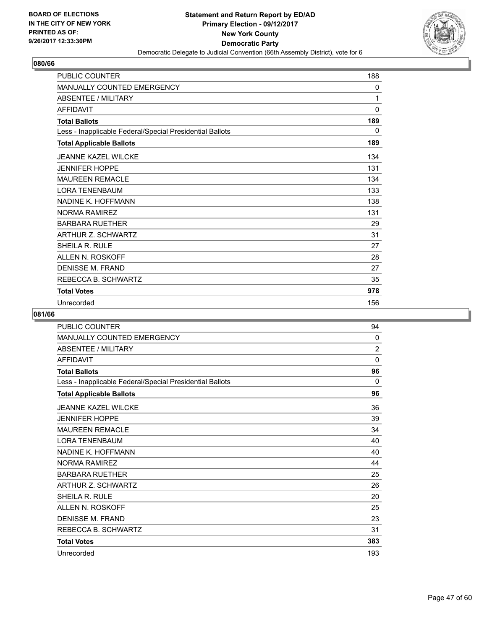

| <b>PUBLIC COUNTER</b>                                    | 188      |
|----------------------------------------------------------|----------|
| <b>MANUALLY COUNTED EMERGENCY</b>                        | 0        |
| <b>ABSENTEE / MILITARY</b>                               | 1        |
| <b>AFFIDAVIT</b>                                         | $\Omega$ |
| <b>Total Ballots</b>                                     | 189      |
| Less - Inapplicable Federal/Special Presidential Ballots | 0        |
| <b>Total Applicable Ballots</b>                          | 189      |
| <b>JEANNE KAZEL WILCKE</b>                               | 134      |
| <b>JENNIFER HOPPE</b>                                    | 131      |
| <b>MAUREEN REMACLE</b>                                   | 134      |
| <b>LORA TENENBAUM</b>                                    | 133      |
| NADINE K. HOFFMANN                                       | 138      |
| <b>NORMA RAMIREZ</b>                                     | 131      |
| <b>BARBARA RUETHER</b>                                   | 29       |
| ARTHUR Z. SCHWARTZ                                       | 31       |
| SHEILA R. RULE                                           | 27       |
| ALLEN N. ROSKOFF                                         | 28       |
| DENISSE M. FRAND                                         | 27       |
| REBECCA B. SCHWARTZ                                      | 35       |
| <b>Total Votes</b>                                       | 978      |
| Unrecorded                                               | 156      |

| PUBLIC COUNTER                                           | 94             |
|----------------------------------------------------------|----------------|
| <b>MANUALLY COUNTED EMERGENCY</b>                        | 0              |
| <b>ABSENTEE / MILITARY</b>                               | $\overline{2}$ |
| <b>AFFIDAVIT</b>                                         | 0              |
| <b>Total Ballots</b>                                     | 96             |
| Less - Inapplicable Federal/Special Presidential Ballots | 0              |
| <b>Total Applicable Ballots</b>                          | 96             |
| <b>JEANNE KAZEL WILCKE</b>                               | 36             |
| <b>JENNIFER HOPPE</b>                                    | 39             |
| <b>MAUREEN REMACLE</b>                                   | 34             |
| <b>LORA TENENBAUM</b>                                    | 40             |
| NADINE K. HOFFMANN                                       | 40             |
| <b>NORMA RAMIREZ</b>                                     | 44             |
| <b>BARBARA RUETHER</b>                                   | 25             |
| <b>ARTHUR Z. SCHWARTZ</b>                                | 26             |
| <b>SHEILA R. RULE</b>                                    | 20             |
| ALLEN N. ROSKOFF                                         | 25             |
| DENISSE M. FRAND                                         | 23             |
| REBECCA B. SCHWARTZ                                      | 31             |
| <b>Total Votes</b>                                       | 383            |
| Unrecorded                                               | 193            |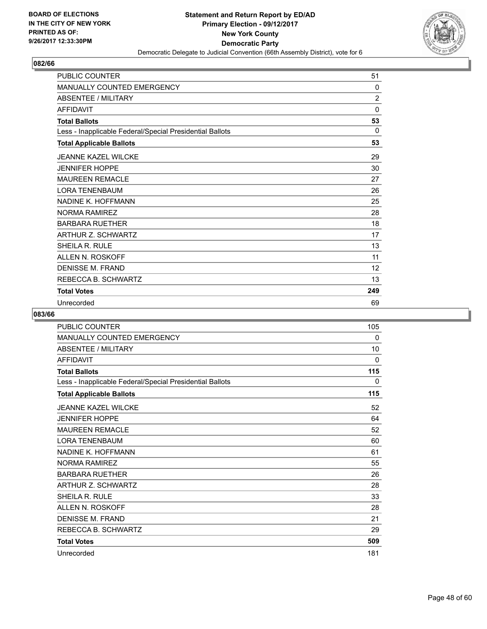

| <b>PUBLIC COUNTER</b>                                    | 51             |
|----------------------------------------------------------|----------------|
| <b>MANUALLY COUNTED EMERGENCY</b>                        | 0              |
| <b>ABSENTEE / MILITARY</b>                               | $\overline{2}$ |
| <b>AFFIDAVIT</b>                                         | 0              |
| <b>Total Ballots</b>                                     | 53             |
| Less - Inapplicable Federal/Special Presidential Ballots | $\Omega$       |
| <b>Total Applicable Ballots</b>                          | 53             |
| <b>JEANNE KAZEL WILCKE</b>                               | 29             |
| <b>JENNIFER HOPPE</b>                                    | 30             |
| <b>MAUREEN REMACLE</b>                                   | 27             |
| <b>LORA TENENBAUM</b>                                    | 26             |
| NADINE K. HOFFMANN                                       | 25             |
| <b>NORMA RAMIREZ</b>                                     | 28             |
| <b>BARBARA RUETHER</b>                                   | 18             |
| <b>ARTHUR Z. SCHWARTZ</b>                                | 17             |
| SHEILA R. RULE                                           | 13             |
| ALLEN N. ROSKOFF                                         | 11             |
| DENISSE M. FRAND                                         | 12             |
| REBECCA B. SCHWARTZ                                      | 13             |
| <b>Total Votes</b>                                       | 249            |
| Unrecorded                                               | 69             |

| <b>PUBLIC COUNTER</b>                                    | 105      |
|----------------------------------------------------------|----------|
| <b>MANUALLY COUNTED EMERGENCY</b>                        | 0        |
| <b>ABSENTEE / MILITARY</b>                               | 10       |
| <b>AFFIDAVIT</b>                                         | $\Omega$ |
| <b>Total Ballots</b>                                     | 115      |
| Less - Inapplicable Federal/Special Presidential Ballots | 0        |
| <b>Total Applicable Ballots</b>                          | 115      |
| <b>JEANNE KAZEL WILCKE</b>                               | 52       |
| <b>JENNIFER HOPPE</b>                                    | 64       |
| <b>MAUREEN REMACLE</b>                                   | 52       |
| <b>LORA TENENBAUM</b>                                    | 60       |
| NADINE K. HOFFMANN                                       | 61       |
| <b>NORMA RAMIREZ</b>                                     | 55       |
| <b>BARBARA RUETHER</b>                                   | 26       |
| ARTHUR Z. SCHWARTZ                                       | 28       |
| <b>SHEILA R. RULE</b>                                    | 33       |
| <b>ALLEN N. ROSKOFF</b>                                  | 28       |
| DENISSE M. FRAND                                         | 21       |
| REBECCA B. SCHWARTZ                                      | 29       |
| <b>Total Votes</b>                                       | 509      |
| Unrecorded                                               | 181      |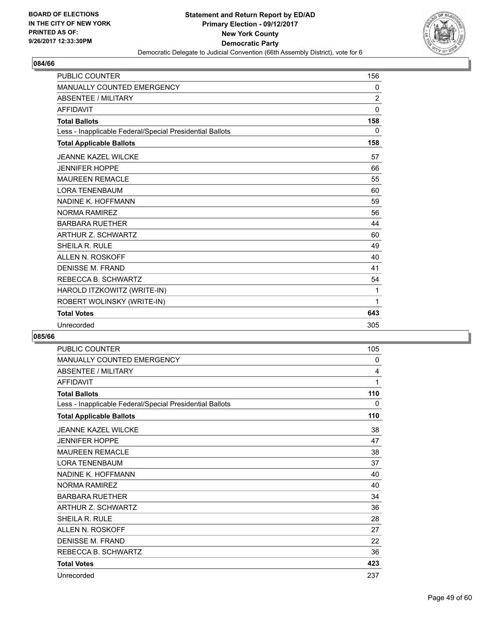

| <b>PUBLIC COUNTER</b>                                    | 156            |
|----------------------------------------------------------|----------------|
| <b>MANUALLY COUNTED EMERGENCY</b>                        | 0              |
| <b>ABSENTEE / MILITARY</b>                               | $\overline{2}$ |
| <b>AFFIDAVIT</b>                                         | $\Omega$       |
| <b>Total Ballots</b>                                     | 158            |
| Less - Inapplicable Federal/Special Presidential Ballots | 0              |
| <b>Total Applicable Ballots</b>                          | 158            |
| <b>JEANNE KAZEL WILCKE</b>                               | 57             |
| <b>JENNIFER HOPPE</b>                                    | 66             |
| <b>MAUREEN REMACLE</b>                                   | 55             |
| <b>LORA TENENBAUM</b>                                    | 60             |
| NADINE K. HOFFMANN                                       | 59             |
| <b>NORMA RAMIREZ</b>                                     | 56             |
| <b>BARBARA RUETHER</b>                                   | 44             |
| <b>ARTHUR Z. SCHWARTZ</b>                                | 60             |
| <b>SHEILA R. RULE</b>                                    | 49             |
| <b>ALLEN N. ROSKOFF</b>                                  | 40             |
| <b>DENISSE M. FRAND</b>                                  | 41             |
| REBECCA B. SCHWARTZ                                      | 54             |
| HAROLD ITZKOWITZ (WRITE-IN)                              | 1              |
| ROBERT WOLINSKY (WRITE-IN)                               | 1              |
| <b>Total Votes</b>                                       | 643            |
| Unrecorded                                               | 305            |

| <b>PUBLIC COUNTER</b>                                    | 105 |
|----------------------------------------------------------|-----|
| MANUALLY COUNTED EMERGENCY                               | 0   |
| <b>ABSENTEE / MILITARY</b>                               | 4   |
| <b>AFFIDAVIT</b>                                         | 1   |
| <b>Total Ballots</b>                                     | 110 |
| Less - Inapplicable Federal/Special Presidential Ballots | 0   |
| <b>Total Applicable Ballots</b>                          | 110 |
| <b>JEANNE KAZEL WILCKE</b>                               | 38  |
| <b>JENNIFER HOPPE</b>                                    | 47  |
| <b>MAUREEN REMACLE</b>                                   | 38  |
| <b>LORA TENENBAUM</b>                                    | 37  |
| NADINE K. HOFFMANN                                       | 40  |
| <b>NORMA RAMIREZ</b>                                     | 40  |
| <b>BARBARA RUFTHER</b>                                   | 34  |
| ARTHUR Z. SCHWARTZ                                       | 36  |
| SHEILA R. RULE                                           | 28  |
| ALLEN N. ROSKOFF                                         | 27  |
| <b>DENISSE M. FRAND</b>                                  | 22  |
| REBECCA B. SCHWARTZ                                      | 36  |
| <b>Total Votes</b>                                       | 423 |
| Unrecorded                                               | 237 |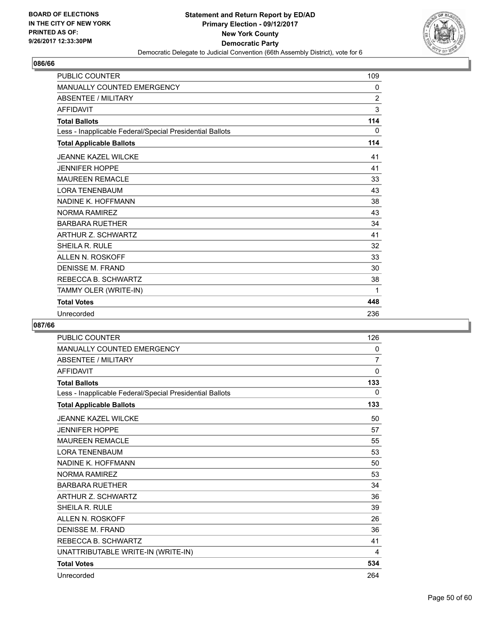

| <b>PUBLIC COUNTER</b>                                    | 109            |
|----------------------------------------------------------|----------------|
| <b>MANUALLY COUNTED EMERGENCY</b>                        | 0              |
| <b>ABSENTEE / MILITARY</b>                               | $\overline{2}$ |
| <b>AFFIDAVIT</b>                                         | 3              |
| <b>Total Ballots</b>                                     | 114            |
| Less - Inapplicable Federal/Special Presidential Ballots | 0              |
| <b>Total Applicable Ballots</b>                          | 114            |
| <b>JEANNE KAZEL WILCKE</b>                               | 41             |
| <b>JENNIFER HOPPE</b>                                    | 41             |
| <b>MAUREEN REMACLE</b>                                   | 33             |
| <b>LORA TENENBAUM</b>                                    | 43             |
| NADINE K. HOFFMANN                                       | 38             |
| NORMA RAMIRFZ                                            | 43             |
| <b>BARBARA RUETHER</b>                                   | 34             |
| <b>ARTHUR Z. SCHWARTZ</b>                                | 41             |
| SHEILA R. RULE                                           | 32             |
| ALLEN N. ROSKOFF                                         | 33             |
| DENISSE M. FRAND                                         | 30             |
| REBECCA B. SCHWARTZ                                      | 38             |
| TAMMY OLER (WRITE-IN)                                    | 1              |
| <b>Total Votes</b>                                       | 448            |
| Unrecorded                                               | 236            |

| <b>PUBLIC COUNTER</b>                                    | 126            |
|----------------------------------------------------------|----------------|
| MANUALLY COUNTED EMERGENCY                               | 0              |
| <b>ABSENTEE / MILITARY</b>                               | $\overline{7}$ |
| <b>AFFIDAVIT</b>                                         | $\mathbf 0$    |
| <b>Total Ballots</b>                                     | 133            |
| Less - Inapplicable Federal/Special Presidential Ballots | 0              |
| <b>Total Applicable Ballots</b>                          | 133            |
| <b>JEANNE KAZEL WILCKE</b>                               | 50             |
| <b>JENNIFER HOPPE</b>                                    | 57             |
| <b>MAUREEN REMACLE</b>                                   | 55             |
| <b>LORA TENENBAUM</b>                                    | 53             |
| NADINE K. HOFFMANN                                       | 50             |
| <b>NORMA RAMIREZ</b>                                     | 53             |
| <b>BARBARA RUETHER</b>                                   | 34             |
| <b>ARTHUR Z. SCHWARTZ</b>                                | 36             |
| SHEILA R. RULE                                           | 39             |
| <b>ALLEN N. ROSKOFF</b>                                  | 26             |
| <b>DENISSE M. FRAND</b>                                  | 36             |
| REBECCA B. SCHWARTZ                                      | 41             |
| UNATTRIBUTABLE WRITE-IN (WRITE-IN)                       | 4              |
| <b>Total Votes</b>                                       | 534            |
| Unrecorded                                               | 264            |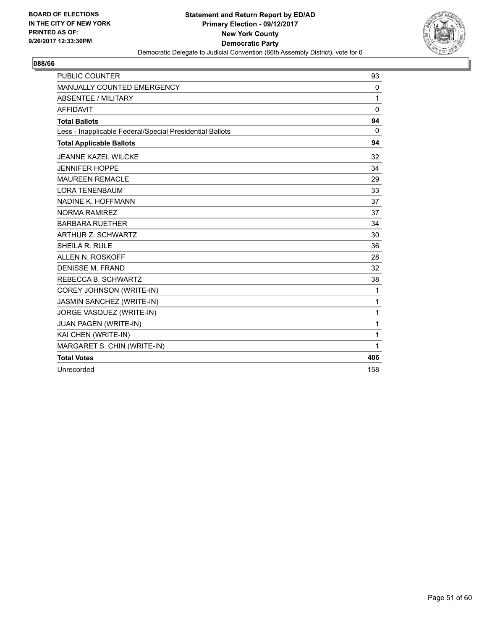

| <b>PUBLIC COUNTER</b>                                    | 93           |
|----------------------------------------------------------|--------------|
| MANUALLY COUNTED EMERGENCY                               | 0            |
| <b>ABSENTEE / MILITARY</b>                               | $\mathbf{1}$ |
| <b>AFFIDAVIT</b>                                         | $\Omega$     |
| <b>Total Ballots</b>                                     | 94           |
| Less - Inapplicable Federal/Special Presidential Ballots | $\mathbf{0}$ |
| <b>Total Applicable Ballots</b>                          | 94           |
| <b>JEANNE KAZEL WILCKE</b>                               | 32           |
| <b>JENNIFER HOPPE</b>                                    | 34           |
| <b>MAUREEN REMACLE</b>                                   | 29           |
| <b>LORA TENENBAUM</b>                                    | 33           |
| NADINE K. HOFFMANN                                       | 37           |
| <b>NORMA RAMIREZ</b>                                     | 37           |
| <b>BARBARA RUETHER</b>                                   | 34           |
| ARTHUR Z. SCHWARTZ                                       | 30           |
| SHEILA R. RULE                                           | 36           |
| ALLEN N. ROSKOFF                                         | 28           |
| <b>DENISSE M. FRAND</b>                                  | 32           |
| REBECCA B. SCHWARTZ                                      | 38           |
| COREY JOHNSON (WRITE-IN)                                 | 1            |
| JASMIN SANCHEZ (WRITE-IN)                                | 1            |
| JORGE VASQUEZ (WRITE-IN)                                 | 1            |
| JUAN PAGEN (WRITE-IN)                                    | 1            |
| KAI CHEN (WRITE-IN)                                      | 1            |
| MARGARET S. CHIN (WRITE-IN)                              | 1            |
| <b>Total Votes</b>                                       | 406          |
| Unrecorded                                               | 158          |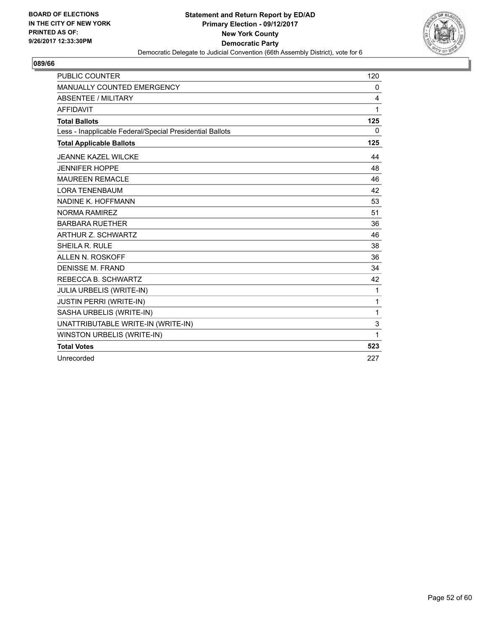

| <b>PUBLIC COUNTER</b>                                    | 120      |
|----------------------------------------------------------|----------|
| <b>MANUALLY COUNTED EMERGENCY</b>                        | 0        |
| <b>ABSENTEE / MILITARY</b>                               | 4        |
| <b>AFFIDAVIT</b>                                         | 1        |
| <b>Total Ballots</b>                                     | 125      |
| Less - Inapplicable Federal/Special Presidential Ballots | $\Omega$ |
| <b>Total Applicable Ballots</b>                          | 125      |
| <b>JEANNE KAZEL WILCKE</b>                               | 44       |
| <b>JENNIFER HOPPE</b>                                    | 48       |
| <b>MAUREEN REMACLE</b>                                   | 46       |
| <b>LORA TENENBAUM</b>                                    | 42       |
| NADINE K. HOFFMANN                                       | 53       |
| NORMA RAMIRFZ                                            | 51       |
| <b>BARBARA RUETHER</b>                                   | 36       |
| <b>ARTHUR Z. SCHWARTZ</b>                                | 46       |
| <b>SHEILA R. RULE</b>                                    | 38       |
| ALLEN N. ROSKOFF                                         | 36       |
| <b>DENISSE M. FRAND</b>                                  | 34       |
| REBECCA B. SCHWARTZ                                      | 42       |
| JULIA URBELIS (WRITE-IN)                                 | 1        |
| <b>JUSTIN PERRI (WRITE-IN)</b>                           | 1        |
| SASHA URBELIS (WRITE-IN)                                 | 1        |
| UNATTRIBUTABLE WRITE-IN (WRITE-IN)                       | 3        |
| WINSTON URBELIS (WRITE-IN)                               | 1        |
| <b>Total Votes</b>                                       | 523      |
| Unrecorded                                               | 227      |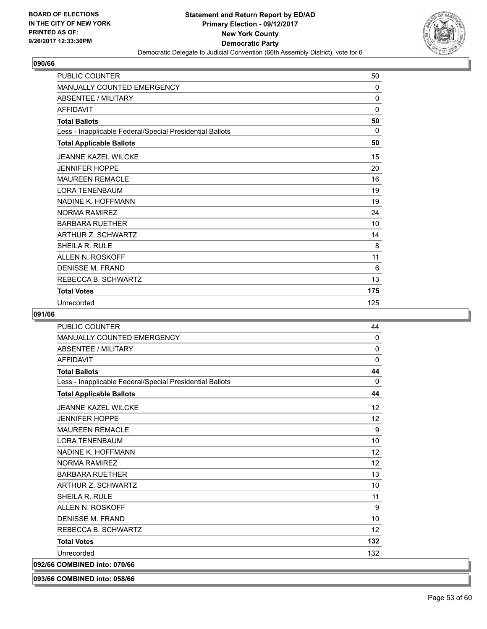

| <b>PUBLIC COUNTER</b>                                    | 50       |
|----------------------------------------------------------|----------|
| <b>MANUALLY COUNTED EMERGENCY</b>                        | 0        |
| <b>ABSENTEE / MILITARY</b>                               | 0        |
| <b>AFFIDAVIT</b>                                         | 0        |
| <b>Total Ballots</b>                                     | 50       |
| Less - Inapplicable Federal/Special Presidential Ballots | $\Omega$ |
| <b>Total Applicable Ballots</b>                          | 50       |
| <b>JEANNE KAZEL WILCKE</b>                               | 15       |
| <b>JENNIFER HOPPE</b>                                    | 20       |
| <b>MAUREEN REMACLE</b>                                   | 16       |
| <b>LORA TENENBAUM</b>                                    | 19       |
| NADINE K. HOFFMANN                                       | 19       |
| <b>NORMA RAMIREZ</b>                                     | 24       |
| <b>BARBARA RUETHER</b>                                   | 10       |
| <b>ARTHUR Z. SCHWARTZ</b>                                | 14       |
| SHEILA R. RULE                                           | 8        |
| ALLEN N. ROSKOFF                                         | 11       |
| DENISSE M. FRAND                                         | 6        |
| REBECCA B. SCHWARTZ                                      | 13       |
| <b>Total Votes</b>                                       | 175      |
| Unrecorded                                               | 125      |

#### **091/66**

| <b>PUBLIC COUNTER</b>                                    | 44       |
|----------------------------------------------------------|----------|
| <b>MANUALLY COUNTED EMERGENCY</b>                        | 0        |
| <b>ABSENTEE / MILITARY</b>                               | $\Omega$ |
| <b>AFFIDAVIT</b>                                         | $\Omega$ |
| <b>Total Ballots</b>                                     | 44       |
| Less - Inapplicable Federal/Special Presidential Ballots | 0        |
| <b>Total Applicable Ballots</b>                          | 44       |
| <b>JEANNE KAZEL WILCKE</b>                               | 12       |
| <b>JENNIFER HOPPE</b>                                    | 12       |
| <b>MAUREEN REMACLE</b>                                   | 9        |
| <b>LORA TENENBAUM</b>                                    | 10       |
| NADINE K. HOFFMANN                                       | 12       |
| <b>NORMA RAMIREZ</b>                                     | 12       |
| <b>BARBARA RUETHER</b>                                   | 13       |
| ARTHUR Z. SCHWARTZ                                       | 10       |
| <b>SHEILA R. RULE</b>                                    | 11       |
| ALLEN N. ROSKOFF                                         | 9        |
| <b>DENISSE M. FRAND</b>                                  | 10       |
| REBECCA B. SCHWARTZ                                      | 12       |
| <b>Total Votes</b>                                       | 132      |
| Unrecorded                                               | 132      |
| 092/66 COMBINED into: 070/66                             |          |
|                                                          |          |

**093/66 COMBINED into: 058/66**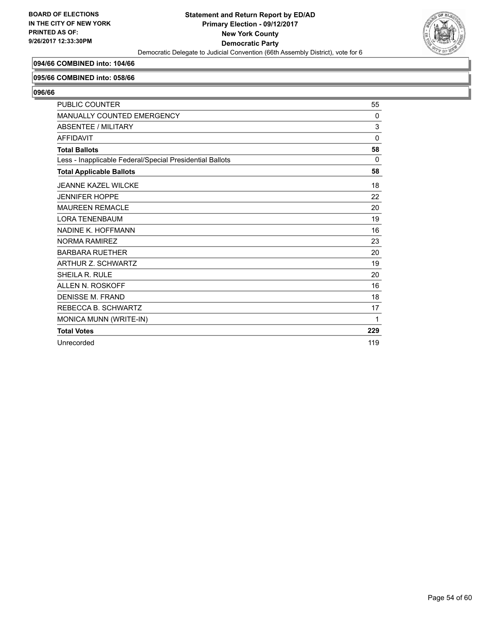

## **094/66 COMBINED into: 104/66**

#### **095/66 COMBINED into: 058/66**

| <b>PUBLIC COUNTER</b>                                    | 55       |
|----------------------------------------------------------|----------|
| <b>MANUALLY COUNTED EMERGENCY</b>                        | $\Omega$ |
| <b>ABSENTEE / MILITARY</b>                               | 3        |
| <b>AFFIDAVIT</b>                                         | $\Omega$ |
| <b>Total Ballots</b>                                     | 58       |
| Less - Inapplicable Federal/Special Presidential Ballots | 0        |
| <b>Total Applicable Ballots</b>                          | 58       |
| <b>JEANNE KAZEL WILCKE</b>                               | 18       |
| <b>JENNIFER HOPPE</b>                                    | 22       |
| <b>MAUREEN REMACLE</b>                                   | 20       |
| <b>LORA TENENBAUM</b>                                    | 19       |
| NADINE K. HOFFMANN                                       | 16       |
| <b>NORMA RAMIREZ</b>                                     | 23       |
| <b>BARBARA RUETHER</b>                                   | 20       |
| <b>ARTHUR Z. SCHWARTZ</b>                                | 19       |
| SHEILA R. RULE                                           | 20       |
| ALLEN N. ROSKOFF                                         | 16       |
| <b>DENISSE M. FRAND</b>                                  | 18       |
| REBECCA B. SCHWARTZ                                      | 17       |
| MONICA MUNN (WRITE-IN)                                   | 1        |
| <b>Total Votes</b>                                       | 229      |
| Unrecorded                                               | 119      |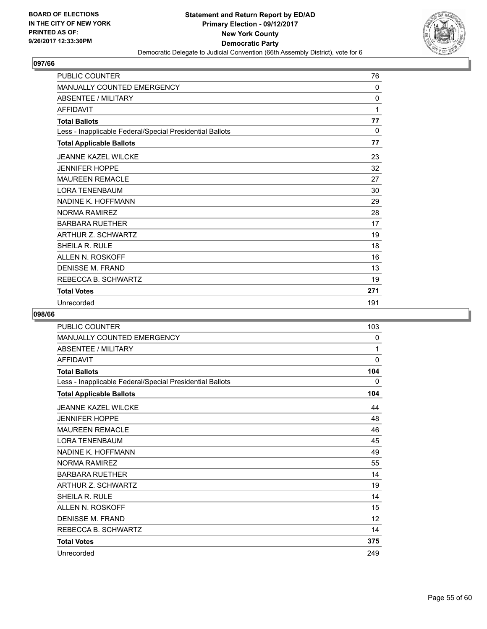

| <b>PUBLIC COUNTER</b>                                    | 76  |
|----------------------------------------------------------|-----|
| <b>MANUALLY COUNTED EMERGENCY</b>                        | 0   |
| <b>ABSENTEE / MILITARY</b>                               | 0   |
| <b>AFFIDAVIT</b>                                         | 1   |
| <b>Total Ballots</b>                                     | 77  |
| Less - Inapplicable Federal/Special Presidential Ballots | 0   |
| <b>Total Applicable Ballots</b>                          | 77  |
| <b>JEANNE KAZEL WILCKE</b>                               | 23  |
| <b>JENNIFER HOPPE</b>                                    | 32  |
| <b>MAUREEN REMACLE</b>                                   | 27  |
| <b>LORA TENENBAUM</b>                                    | 30  |
| NADINE K. HOFFMANN                                       | 29  |
| <b>NORMA RAMIREZ</b>                                     | 28  |
| <b>BARBARA RUETHER</b>                                   | 17  |
| ARTHUR Z. SCHWARTZ                                       | 19  |
| SHEILA R. RULE                                           | 18  |
| ALLEN N. ROSKOFF                                         | 16  |
| DENISSE M. FRAND                                         | 13  |
| REBECCA B. SCHWARTZ                                      | 19  |
| <b>Total Votes</b>                                       | 271 |
| Unrecorded                                               | 191 |

| PUBLIC COUNTER                                           | 103 |
|----------------------------------------------------------|-----|
| <b>MANUALLY COUNTED EMERGENCY</b>                        | 0   |
| <b>ABSENTEE / MILITARY</b>                               | 1   |
| <b>AFFIDAVIT</b>                                         | 0   |
| <b>Total Ballots</b>                                     | 104 |
| Less - Inapplicable Federal/Special Presidential Ballots | 0   |
| <b>Total Applicable Ballots</b>                          | 104 |
| <b>JEANNE KAZEL WILCKE</b>                               | 44  |
| <b>JENNIFER HOPPE</b>                                    | 48  |
| <b>MAUREEN REMACLE</b>                                   | 46  |
| <b>LORA TENENBAUM</b>                                    | 45  |
| NADINE K. HOFFMANN                                       | 49  |
| NORMA RAMIRFZ                                            | 55  |
| <b>BARBARA RUETHER</b>                                   | 14  |
| <b>ARTHUR Z. SCHWARTZ</b>                                | 19  |
| SHEILA R. RULE                                           | 14  |
| ALLEN N. ROSKOFF                                         | 15  |
| <b>DENISSE M. FRAND</b>                                  | 12  |
| REBECCA B. SCHWARTZ                                      | 14  |
| <b>Total Votes</b>                                       | 375 |
| Unrecorded                                               | 249 |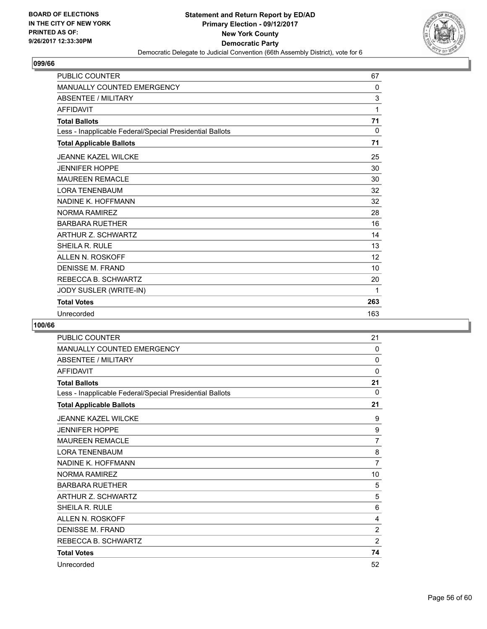

| <b>PUBLIC COUNTER</b>                                    | 67           |
|----------------------------------------------------------|--------------|
| MANUALLY COUNTED EMERGENCY                               | $\mathbf{0}$ |
| <b>ABSENTEE / MILITARY</b>                               | 3            |
| <b>AFFIDAVIT</b>                                         | 1            |
| <b>Total Ballots</b>                                     | 71           |
| Less - Inapplicable Federal/Special Presidential Ballots | 0            |
| <b>Total Applicable Ballots</b>                          | 71           |
| <b>JEANNE KAZEL WILCKE</b>                               | 25           |
| <b>JENNIFER HOPPE</b>                                    | 30           |
| <b>MAUREEN REMACLE</b>                                   | 30           |
| <b>LORA TENENBAUM</b>                                    | 32           |
| NADINE K. HOFFMANN                                       | 32           |
| <b>NORMA RAMIREZ</b>                                     | 28           |
| <b>BARBARA RUETHER</b>                                   | 16           |
| <b>ARTHUR Z. SCHWARTZ</b>                                | 14           |
| SHEILA R. RULE                                           | 13           |
| ALLEN N. ROSKOFF                                         | 12           |
| <b>DENISSE M. FRAND</b>                                  | 10           |
| REBECCA B. SCHWARTZ                                      | 20           |
| JODY SUSLER (WRITE-IN)                                   | 1            |
| <b>Total Votes</b>                                       | 263          |
| Unrecorded                                               | 163          |

| PUBLIC COUNTER                                           | 21             |
|----------------------------------------------------------|----------------|
| <b>MANUALLY COUNTED EMERGENCY</b>                        | $\Omega$       |
| <b>ABSENTEE / MILITARY</b>                               | 0              |
| <b>AFFIDAVIT</b>                                         | $\mathbf 0$    |
| <b>Total Ballots</b>                                     | 21             |
| Less - Inapplicable Federal/Special Presidential Ballots | $\Omega$       |
| <b>Total Applicable Ballots</b>                          | 21             |
| <b>JEANNE KAZEL WILCKE</b>                               | 9              |
| <b>JENNIFER HOPPE</b>                                    | 9              |
| <b>MAUREEN REMACLE</b>                                   | $\overline{7}$ |
| <b>LORA TENENBAUM</b>                                    | 8              |
| NADINE K. HOFFMANN                                       | $\overline{7}$ |
| <b>NORMA RAMIREZ</b>                                     | 10             |
| <b>BARBARA RUETHER</b>                                   | 5              |
| <b>ARTHUR Z. SCHWARTZ</b>                                | 5              |
| <b>SHEILA R. RULE</b>                                    | 6              |
| ALLEN N. ROSKOFF                                         | 4              |
| <b>DENISSE M. FRAND</b>                                  | $\overline{2}$ |
| REBECCA B. SCHWARTZ                                      | $\overline{2}$ |
| <b>Total Votes</b>                                       | 74             |
| Unrecorded                                               | 52             |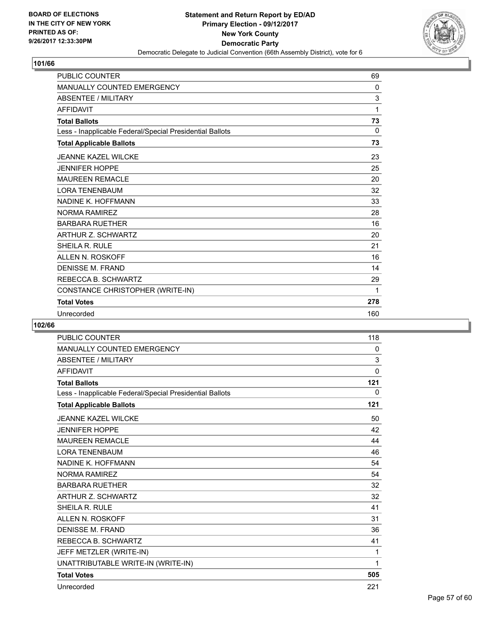

| <b>PUBLIC COUNTER</b>                                    | 69  |
|----------------------------------------------------------|-----|
| MANUALLY COUNTED EMERGENCY                               | 0   |
| <b>ABSENTEE / MILITARY</b>                               | 3   |
| <b>AFFIDAVIT</b>                                         | 1   |
| <b>Total Ballots</b>                                     | 73  |
| Less - Inapplicable Federal/Special Presidential Ballots | 0   |
| <b>Total Applicable Ballots</b>                          | 73  |
| <b>JEANNE KAZEL WILCKE</b>                               | 23  |
| <b>JENNIFER HOPPE</b>                                    | 25  |
| <b>MAUREEN REMACLE</b>                                   | 20  |
| <b>LORA TENENBAUM</b>                                    | 32  |
| NADINE K. HOFFMANN                                       | 33  |
| <b>NORMA RAMIREZ</b>                                     | 28  |
| <b>BARBARA RUETHER</b>                                   | 16  |
| ARTHUR Z. SCHWARTZ                                       | 20  |
| SHEILA R. RULE                                           | 21  |
| <b>ALLEN N. ROSKOFF</b>                                  | 16  |
| <b>DENISSE M. FRAND</b>                                  | 14  |
| REBECCA B. SCHWARTZ                                      | 29  |
| CONSTANCE CHRISTOPHER (WRITE-IN)                         | 1   |
| <b>Total Votes</b>                                       | 278 |
| Unrecorded                                               | 160 |

| <b>PUBLIC COUNTER</b>                                    | 118      |
|----------------------------------------------------------|----------|
| <b>MANUALLY COUNTED EMERGENCY</b>                        | 0        |
| <b>ABSENTEE / MILITARY</b>                               | 3        |
| <b>AFFIDAVIT</b>                                         | $\Omega$ |
| <b>Total Ballots</b>                                     | 121      |
| Less - Inapplicable Federal/Special Presidential Ballots | 0        |
| <b>Total Applicable Ballots</b>                          | 121      |
| <b>JEANNE KAZEL WILCKE</b>                               | 50       |
| <b>JENNIFER HOPPE</b>                                    | 42       |
| <b>MAUREEN REMACLE</b>                                   | 44       |
| <b>LORA TENENBAUM</b>                                    | 46       |
| NADINE K. HOFFMANN                                       | 54       |
| <b>NORMA RAMIREZ</b>                                     | 54       |
| <b>BARBARA RUETHER</b>                                   | 32       |
| <b>ARTHUR Z. SCHWARTZ</b>                                | 32       |
| <b>SHEILA R. RULE</b>                                    | 41       |
| <b>ALLEN N. ROSKOFF</b>                                  | 31       |
| <b>DENISSE M. FRAND</b>                                  | 36       |
| REBECCA B. SCHWARTZ                                      | 41       |
| JEFF METZLER (WRITE-IN)                                  | 1        |
| UNATTRIBUTABLE WRITE-IN (WRITE-IN)                       | 1        |
| <b>Total Votes</b>                                       | 505      |
| Unrecorded                                               | 221      |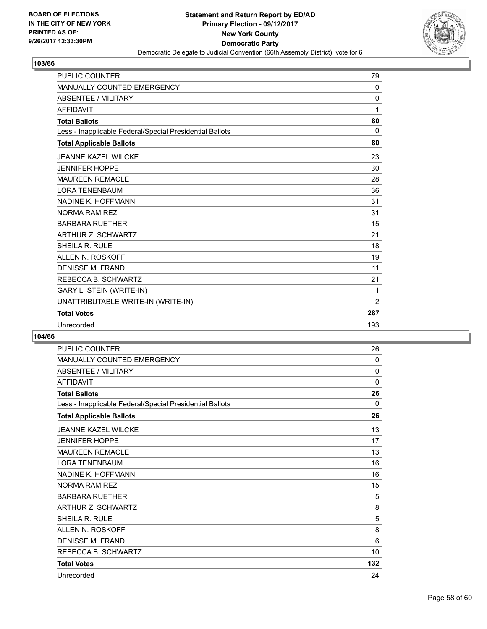

| <b>PUBLIC COUNTER</b>                                    | 79             |
|----------------------------------------------------------|----------------|
| <b>MANUALLY COUNTED EMERGENCY</b>                        | 0              |
| <b>ABSENTEE / MILITARY</b>                               | $\mathbf 0$    |
| <b>AFFIDAVIT</b>                                         | 1              |
| <b>Total Ballots</b>                                     | 80             |
| Less - Inapplicable Federal/Special Presidential Ballots | $\mathbf{0}$   |
| <b>Total Applicable Ballots</b>                          | 80             |
| JEANNE KAZEL WILCKE                                      | 23             |
| <b>JENNIFER HOPPE</b>                                    | 30             |
| <b>MAUREEN REMACLE</b>                                   | 28             |
| <b>LORA TENENBAUM</b>                                    | 36             |
| NADINE K. HOFFMANN                                       | 31             |
| NORMA RAMIREZ                                            | 31             |
| <b>BARBARA RUETHER</b>                                   | 15             |
| <b>ARTHUR Z. SCHWARTZ</b>                                | 21             |
| <b>SHEILA R. RULE</b>                                    | 18             |
| <b>ALLEN N. ROSKOFF</b>                                  | 19             |
| <b>DENISSE M. FRAND</b>                                  | 11             |
| REBECCA B. SCHWARTZ                                      | 21             |
| GARY L. STEIN (WRITE-IN)                                 | 1              |
| UNATTRIBUTABLE WRITE-IN (WRITE-IN)                       | $\overline{2}$ |
| <b>Total Votes</b>                                       | 287            |
| Unrecorded                                               | 193            |

| <b>PUBLIC COUNTER</b>                                    | 26           |
|----------------------------------------------------------|--------------|
| MANUALLY COUNTED EMERGENCY                               | $\Omega$     |
| <b>ABSENTEE / MILITARY</b>                               | $\mathbf{0}$ |
| <b>AFFIDAVIT</b>                                         | $\mathbf{0}$ |
| <b>Total Ballots</b>                                     | 26           |
| Less - Inapplicable Federal/Special Presidential Ballots | $\mathbf{0}$ |
| <b>Total Applicable Ballots</b>                          | 26           |
| <b>JEANNE KAZEL WILCKE</b>                               | 13           |
| <b>JENNIFER HOPPE</b>                                    | 17           |
| <b>MAUREEN REMACLE</b>                                   | 13           |
| <b>LORA TENENBAUM</b>                                    | 16           |
| NADINE K. HOFFMANN                                       | 16           |
| <b>NORMA RAMIREZ</b>                                     | 15           |
| <b>BARBARA RUFTHER</b>                                   | 5            |
| ARTHUR Z. SCHWARTZ                                       | 8            |
| SHEILA R. RULE                                           | 5            |
| ALLEN N. ROSKOFF                                         | 8            |
| <b>DENISSE M. FRAND</b>                                  | 6            |
| REBECCA B. SCHWARTZ                                      | 10           |
| <b>Total Votes</b>                                       | 132          |
| Unrecorded                                               | 24           |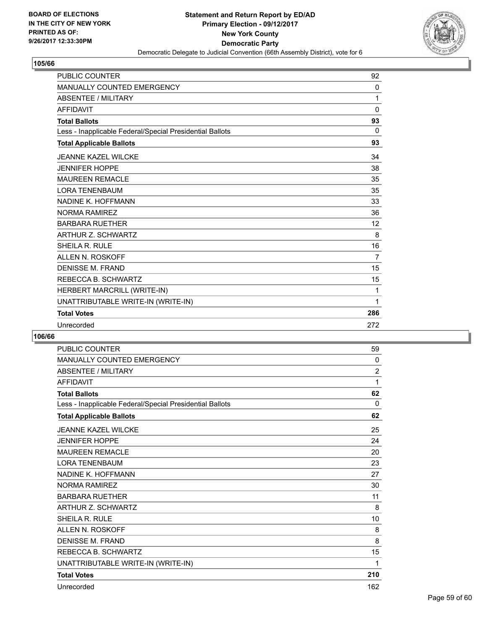

| <b>PUBLIC COUNTER</b>                                    | 92       |
|----------------------------------------------------------|----------|
| <b>MANUALLY COUNTED EMERGENCY</b>                        | 0        |
| <b>ABSENTEE / MILITARY</b>                               | 1        |
| <b>AFFIDAVIT</b>                                         | $\Omega$ |
| <b>Total Ballots</b>                                     | 93       |
| Less - Inapplicable Federal/Special Presidential Ballots | 0        |
| <b>Total Applicable Ballots</b>                          | 93       |
| JEANNE KAZEL WILCKE                                      | 34       |
| <b>JENNIFER HOPPE</b>                                    | 38       |
| <b>MAUREEN REMACLE</b>                                   | 35       |
| <b>LORA TENENBAUM</b>                                    | 35       |
| NADINE K. HOFFMANN                                       | 33       |
| <b>NORMA RAMIREZ</b>                                     | 36       |
| <b>BARBARA RUETHER</b>                                   | 12       |
| <b>ARTHUR Z. SCHWARTZ</b>                                | 8        |
| <b>SHEILA R. RULE</b>                                    | 16       |
| ALLEN N. ROSKOFF                                         | 7        |
| <b>DENISSE M. FRAND</b>                                  | 15       |
| REBECCA B. SCHWARTZ                                      | 15       |
| HERBERT MARCRILL (WRITE-IN)                              | 1        |
| UNATTRIBUTABLE WRITE-IN (WRITE-IN)                       | 1        |
| <b>Total Votes</b>                                       | 286      |
| Unrecorded                                               | 272      |

| <b>PUBLIC COUNTER</b>                                    | 59             |
|----------------------------------------------------------|----------------|
| <b>MANUALLY COUNTED EMERGENCY</b>                        | $\Omega$       |
| <b>ABSENTEE / MILITARY</b>                               | $\overline{2}$ |
| <b>AFFIDAVIT</b>                                         | 1              |
| <b>Total Ballots</b>                                     | 62             |
| Less - Inapplicable Federal/Special Presidential Ballots | 0              |
| <b>Total Applicable Ballots</b>                          | 62             |
| <b>JEANNE KAZEL WILCKE</b>                               | 25             |
| <b>JENNIFER HOPPE</b>                                    | 24             |
| <b>MAUREEN REMACLE</b>                                   | 20             |
| <b>LORA TENENBAUM</b>                                    | 23             |
| NADINE K. HOFFMANN                                       | 27             |
| <b>NORMA RAMIREZ</b>                                     | 30             |
| <b>BARBARA RUETHER</b>                                   | 11             |
| <b>ARTHUR Z. SCHWARTZ</b>                                | 8              |
| SHEILA R. RULE                                           | 10             |
| ALLEN N. ROSKOFF                                         | 8              |
| <b>DENISSE M. FRAND</b>                                  | 8              |
| REBECCA B. SCHWARTZ                                      | 15             |
| UNATTRIBUTABLE WRITE-IN (WRITE-IN)                       | 1              |
| <b>Total Votes</b>                                       | 210            |
| Unrecorded                                               | 162            |